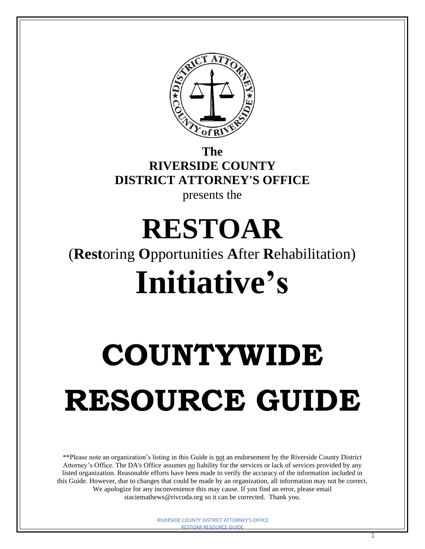

**The RIVERSIDE COUNTY DISTRICT ATTORNEY'S OFFICE**  presents the

# **RESTOAR**  (**Rest**oring **O**pportunities **A**fter **R**ehabilitation) **Initiative's**

# **COUNTYWIDE RESOURCE GUIDE**

\*\*Please note an organization's listing in this Guide is not an endorsement by the Riverside County District Attorney's Office. The DA's Office assumes no liability for the services or lack of services provided by any listed organization. Reasonable efforts have been made to verify the accuracy of the information included in this Guide. However, due to changes that could be made by an organization, all information may not be correct. We apologize for any inconvenience this may cause. If you find an error, please email [staciemathews@rivcoda.org](mailto:staciemathews@rivcoda.org) so it can be corrected. Thank you.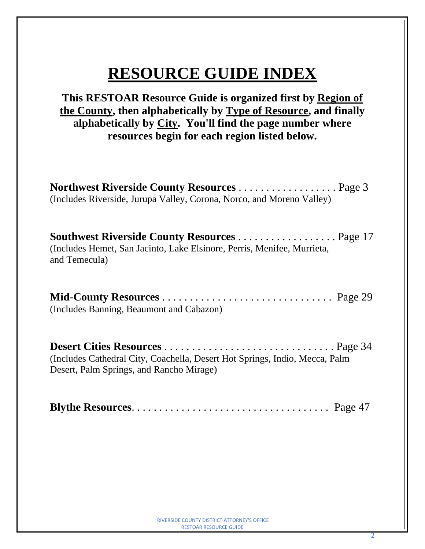# **RESOURCE GUIDE INDEX**

**This RESTOAR Resource Guide is organized first by Region of the County, then alphabetically by Type of Resource, and finally alphabetically by City. You'll find the page number where resources begin for each region listed below.**

| <b>Northwest Riverside County Resources</b> Page 3                    |  |
|-----------------------------------------------------------------------|--|
| (Includes Riverside, Jurupa Valley, Corona, Norco, and Moreno Valley) |  |

**Southwest Riverside County Resources** . . . . . . . . . . . . . . . . . . Page 17 (Includes Hemet, San Jacinto, Lake Elsinore, Perris, Menifee, Murrieta, and Temecula)

| (Includes Banning, Beaumont and Cabazon) |  |
|------------------------------------------|--|

| (Includes Cathedral City, Coachella, Desert Hot Springs, Indio, Mecca, Palm |  |
|-----------------------------------------------------------------------------|--|
| Desert, Palm Springs, and Rancho Mirage)                                    |  |

|--|--|--|--|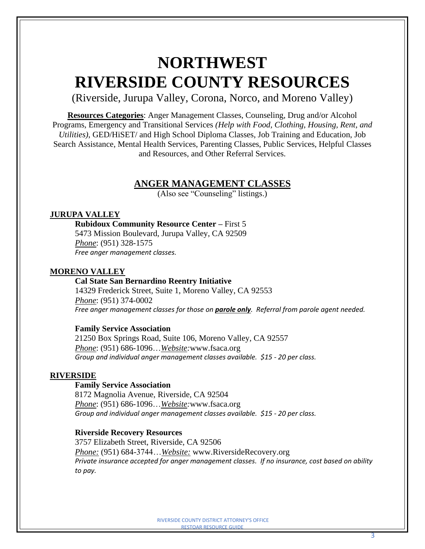# **NORTHWEST RIVERSIDE COUNTY RESOURCES**

(Riverside, Jurupa Valley, Corona, Norco, and Moreno Valley)

**Resources Categories**: Anger Management Classes, Counseling, Drug and/or Alcohol Programs, Emergency and Transitional Services *(Help with Food, Clothing, Housing, Rent, and Utilities)*, GED/HiSET/ and High School Diploma Classes, Job Training and Education, Job Search Assistance, Mental Health Services, Parenting Classes, Public Services, Helpful Classes and Resources, and Other Referral Services.

# **ANGER MANAGEMENT CLASSES**

(Also see "Counseling" listings.)

#### **JURUPA VALLEY**

**Rubidoux Community Resource Center –** First 5 5473 Mission Boulevard, Jurupa Valley, CA 92509 *Phone*: (951) 328-1575

*Free anger management classes.*

#### **MORENO VALLEY**

#### **Cal State San Bernardino Reentry Initiative**

14329 Frederick Street, Suite 1, Moreno Valley, CA 92553 *Phone*: (951) 374-0002 *Free anger management classes for those on parole only. Referral from parole agent needed.* 

#### **Family Service Association**

21250 Box Springs Road, Suite 106, Moreno Valley, CA 92557 *Phone*: (951) 686-1096…*Website:*[www.fsaca.org](http://www.fsaca.org/) *Group and individual anger management classes available. \$15 - 20 per class.*

#### **RIVERSIDE**

# **Family Service Association**

8172 Magnolia Avenue, Riverside, CA 92504 *Phone*: (951) 686-1096…*Website:*[www.fsaca.org](http://www.fsaca.org/) *Group and individual anger management classes available. \$15 - 20 per class.*

#### **Riverside Recovery Resources**

3757 Elizabeth Street, Riverside, CA 92506 *Phone:* (951) 684-3744…*Website:* www.RiversideRecovery.org *Private insurance accepted for anger management classes. If no insurance, cost based on ability to pay.*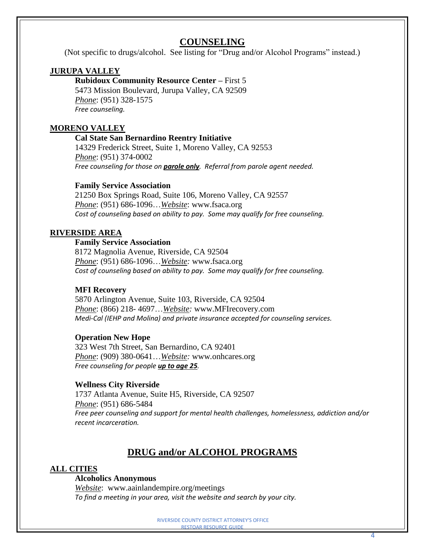# **COUNSELING**

(Not specific to drugs/alcohol. See listing for "Drug and/or Alcohol Programs" instead.)

# **JURUPA VALLEY**

**Rubidoux Community Resource Center –** First 5 5473 Mission Boulevard, Jurupa Valley, CA 92509 *Phone*: (951) 328-1575 *Free counseling.*

# **MORENO VALLEY**

#### **Cal State San Bernardino Reentry Initiative**

14329 Frederick Street, Suite 1, Moreno Valley, CA 92553 *Phone*: (951) 374-0002 *Free counseling for those on parole only. Referral from parole agent needed.* 

#### **Family Service Association**

21250 Box Springs Road, Suite 106, Moreno Valley, CA 92557 *Phone*: (951) 686-1096…*Website*: [www.fsaca.org](http://www.fsaca.org/) *Cost of counseling based on ability to pay. Some may qualify for free counseling.*

#### **RIVERSIDE AREA**

# **Family Service Association**

8172 Magnolia Avenue, Riverside, CA 92504 *Phone*: (951) 686-1096…*Website:* [www.fsaca.org](http://www.fsaca.org/) *Cost of counseling based on ability to pay. Some may qualify for free counseling.*

# **MFI Recovery**

5870 Arlington Avenue, Suite 103, Riverside, CA 92504 *Phone*: (866) 218- 4697…*Website:* www.MFIrecovery.com *Medi-Cal (IEHP and Molina) and private insurance accepted for counseling services.*

#### **Operation New Hope**

323 West 7th Street, San Bernardino, CA 92401 *Phone*: (909) 380-0641…*Website:* www*.*onhcares.org *Free counseling for people up to age 25.*

# **Wellness City Riverside**

1737 Atlanta Avenue, Suite H5, Riverside, CA 92507 *Phone*: (951) 686-5484 *Free peer counseling and support for mental health challenges, homelessness, addiction and/or recent incarceration.*

# **DRUG and/or ALCOHOL PROGRAMS**

# **ALL CITIES**

#### **Alcoholics Anonymous**

*Website*: [www.aainlandempire.org/meetings](http://www.aainlandempire.org/meetings) *To find a meeting in your area, visit the website and search by your city.*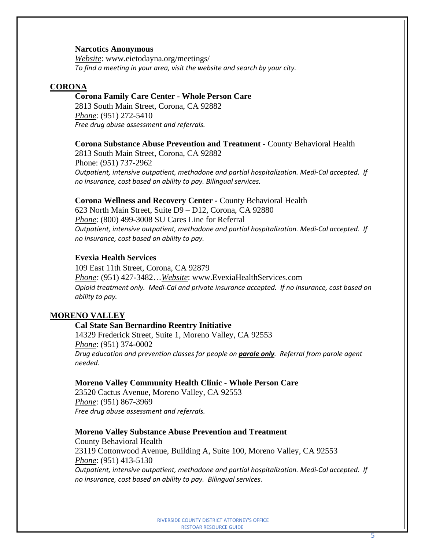#### **Narcotics Anonymous**

*Website*: [www.eietodayna.org/meetings/](http://www.eietodayna.org/meetings/) *To find a meeting in your area, visit the website and search by your city.*

#### **CORONA**

#### **Corona Family Care Center - Whole Person Care**

2813 South Main Street, Corona, CA 92882 *Phone*: (951) 272-5410 *Free drug abuse assessment and referrals.*

#### **Corona Substance Abuse Prevention and Treatment -** County Behavioral Health

2813 South Main Street, Corona, CA 92882 Phone: (951) 737-2962 *Outpatient, intensive outpatient, methadone and partial hospitalization. Medi-Cal accepted. If no insurance, cost based on ability to pay. Bilingual services.*

#### **Corona Wellness and Recovery Center -** County Behavioral Health

623 North Main Street, Suite D9 – D12, Corona, CA 92880 *Phone*: (800) 499-3008 SU Cares Line for Referral *Outpatient, intensive outpatient, methadone and partial hospitalization. Medi-Cal accepted. If no insurance, cost based on ability to pay.*

#### **Evexia Health Services**

109 East 11th Street, Corona, CA 92879 *Phone:* (951) 427-3482…*Website*: [www.EvexiaHealthServices.com](http://www.evexiahealthservices.com/) *Opioid treatment only. Medi-Cal and private insurance accepted. If no insurance, cost based on ability to pay.*

#### **MORENO VALLEY**

#### **Cal State San Bernardino Reentry Initiative**

14329 Frederick Street, Suite 1, Moreno Valley, CA 92553 *Phone*: (951) 374-0002 *Drug education and prevention classes for people on parole only. Referral from parole agent needed.*

#### **Moreno Valley Community Health Clinic - Whole Person Care**

23520 Cactus Avenue, Moreno Valley, CA 92553 *Phone*: (951) 867-3969 *Free drug abuse assessment and referrals.*

#### **Moreno Valley Substance Abuse Prevention and Treatment**

County Behavioral Health 23119 Cottonwood Avenue, Building A, Suite 100, Moreno Valley, CA 92553 *Phone*: (951) 413-5130 *Outpatient, intensive outpatient, methadone and partial hospitalization. Medi-Cal accepted. If* 

*no insurance, cost based on ability to pay. Bilingual services.*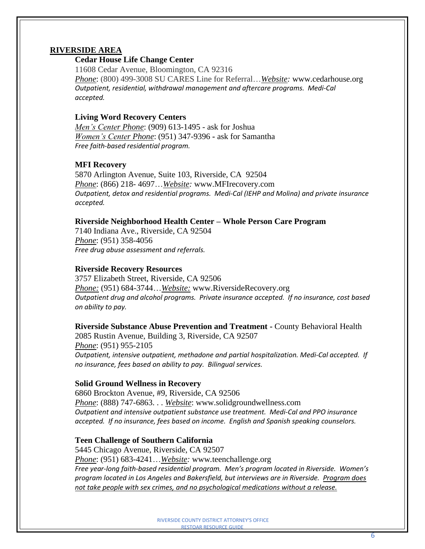#### **RIVERSIDE AREA**

#### **Cedar House Life Change Center**

11608 Cedar Avenue, Bloomington, CA 92316 *Phone*: (800) 499-3008 SU CARES Line for Referral…*Website:* [www.cedarhouse.org](http://www.cedarhouse.org/) *Outpatient, residential, withdrawal management and aftercare programs. Medi-Cal accepted.* 

#### **Living Word Recovery Centers**

*Men's Center Phone*: (909) 613-1495 - ask for Joshua *Women's Center Phone*: (951) 347-9396 **-** ask for Samantha *Free faith-based residential program.*

#### **MFI Recovery**

5870 Arlington Avenue, Suite 103, Riverside, CA 92504 *Phone*: (866) 218- 4697…*Website:* www.MFIrecovery.com *Outpatient, detox and residential programs. Medi-Cal (IEHP and Molina) and private insurance accepted.*

#### **Riverside Neighborhood Health Center – Whole Person Care Program**

7140 Indiana Ave., Riverside, CA 92504 *Phone*: (951) 358-4056 *Free drug abuse assessment and referrals.*

#### **Riverside Recovery Resources**

3757 Elizabeth Street, Riverside, CA 92506 *Phone:* (951) 684-3744…*Website:* www.RiversideRecovery.org *Outpatient drug and alcohol programs. Private insurance accepted. If no insurance, cost based on ability to pay.*

#### **Riverside Substance Abuse Prevention and Treatment -** County Behavioral Health

2085 Rustin Avenue, Building 3, Riverside, CA 92507 *Phone*: (951) 955-2105 *Outpatient, intensive outpatient, methadone and partial hospitalization. Medi-Cal accepted. If no insurance, fees based on ability to pay. Bilingual services.*

#### **Solid Ground Wellness in Recovery**

6860 Brockton Avenue, #9, Riverside, CA 92506 *Phone*: (888) 747-6863. . . *Website*: [www.solidgroundwellness.com](http://www.solidgroundwellness.com/) *Outpatient and intensive outpatient substance use treatment. Medi-Cal and PPO insurance accepted. If no insurance, fees based on income. English and Spanish speaking counselors.*

# **Teen Challenge of Southern California**

5445 Chicago Avenue, Riverside, CA 92507 *Phone*: (951) 683-4241…*Website:* www*.*teenchallenge.org *Free year-long faith-based residential program. Men's program located in Riverside. Women's program located in Los Angeles and Bakersfield, but interviews are in Riverside. Program does not take people with sex crimes, and no psychological medications without a release.*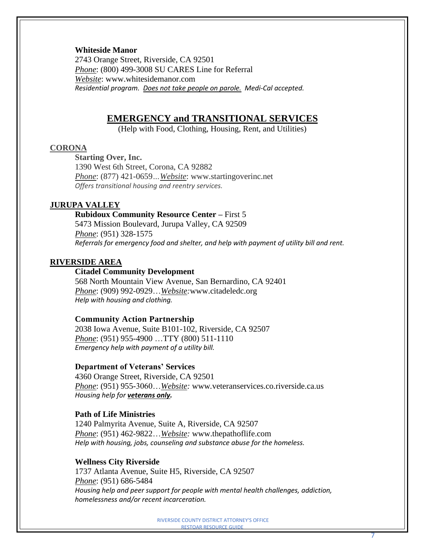#### **Whiteside Manor**

2743 Orange Street, Riverside, CA 92501 *Phone*: (800) 499-3008 SU CARES Line for Referral *Website*: [www.whitesidemanor.com](http://www.whitesidemanor.com/) *Residential program. Does not take people on parole. Medi-Cal accepted.* 

# **EMERGENCY and TRANSITIONAL SERVICES**

(Help with Food, Clothing, Housing, Rent, and Utilities)

#### **CORONA**

**Starting Over, Inc.** 1390 West 6th Street, Corona, CA 92882 *Phone*: (877) 421-0659*…Website*: www.startingoverinc.net *Offers transitional housing and reentry services.*

#### **JURUPA VALLEY**

# **Rubidoux Community Resource Center –** First 5 5473 Mission Boulevard, Jurupa Valley, CA 92509

*Phone*: (951) 328-1575 *Referrals for emergency food and shelter, and help with payment of utility bill and rent.*

#### **RIVERSIDE AREA**

# **Citadel Community Development**

568 North Mountain View Avenue, San Bernardino, CA 92401 *Phone*: (909) 992-0929…*Website:*[www.citadeledc.org](http://www.citadeledc.org/) *Help with housing and clothing.*

#### **Community Action Partnership**

2038 Iowa Avenue, Suite B101-102, Riverside, CA 92507 *Phone*: (951) 955-4900 …TTY (800) 511-1110 *Emergency help with payment of a utility bill.*

#### **Department of Veterans' Services**

4360 Orange Street, Riverside, CA 92501 *Phone*: (951) 955-3060…*Website:* www*.*[veteranservices.co.riverside.ca.us](http://veteranservices.co.riverside.ca.us/) *Housing help for veterans only.*

#### **Path of Life Ministries**

1240 Palmyrita Avenue, Suite A, Riverside, CA 92507 *Phone*: (951) 462-9822…*Website:* www.thepathoflife.com *Help with housing, jobs, counseling and substance abuse for the homeless.*

#### **Wellness City Riverside**

1737 Atlanta Avenue, Suite H5, Riverside, CA 92507 *Phone*: (951) 686-5484 *Housing help and peer support for people with mental health challenges, addiction, homelessness and/or recent incarceration.*

7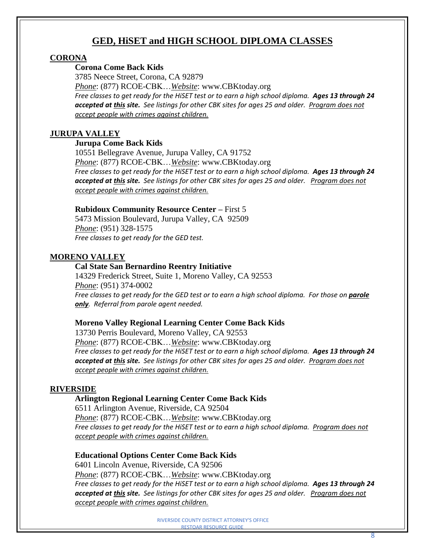# **GED, HiSET and HIGH SCHOOL DIPLOMA CLASSES**

# **CORONA**

# **Corona Come Back Kids**

3785 Neece Street, Corona, CA 92879 *Phone*: (877) RCOE-CBK…*Website*: www.CBKtoday.org *Free classes to get ready for the HiSET test or to earn a high school diploma. Ages 13 through 24 accepted at this site. See listings for other CBK sites for ages 25 and older. Program does not accept people with crimes against children.*

# **JURUPA VALLEY**

# **Jurupa Come Back Kids**

10551 Bellegrave Avenue, Jurupa Valley, CA 91752 *Phone*: (877) RCOE-CBK…*Website*: www.CBKtoday.org *Free classes to get ready for the HiSET test or to earn a high school diploma. Ages 13 through 24 accepted at this site. See listings for other CBK sites for ages 25 and older. Program does not accept people with crimes against children.*

# **Rubidoux Community Resource Center –** First 5

5473 Mission Boulevard, Jurupa Valley, CA 92509 *Phone*: (951) 328-1575 *Free classes to get ready for the GED test.*

# **MORENO VALLEY**

# **Cal State San Bernardino Reentry Initiative**

14329 Frederick Street, Suite 1, Moreno Valley, CA 92553 *Phone*: (951) 374-0002 Free classes to get ready for the GED test or to earn a high school diploma. For those on **parole** *only. Referral from parole agent needed.*

# **Moreno Valley Regional Learning Center Come Back Kids**

13730 Perris Boulevard, Moreno Valley, CA 92553 *Phone*: (877) RCOE-CBK…*Website*: www.CBKtoday.org Free classes to get ready for the HiSET test or to earn a high school diploma. Ages 13 through 24 *accepted at this site. See listings for other CBK sites for ages 25 and older. Program does not accept people with crimes against children.*

# **RIVERSIDE**

# **Arlington Regional Learning Center Come Back Kids**

6511 Arlington Avenue, Riverside, CA 92504 *Phone*: (877) RCOE-CBK…*Website*: www.CBKtoday.org Free classes to get ready for the HiSET test or to earn a high school diploma. Program does not *accept people with crimes against children.*

# **Educational Options Center Come Back Kids**

6401 Lincoln Avenue, Riverside, CA 92506 *Phone*: (877) RCOE-CBK…*Website*: www.CBKtoday.org Free classes to get ready for the HiSET test or to earn a high school diploma. Ages 13 through 24 *accepted at this site. See listings for other CBK sites for ages 25 and older. Program does not accept people with crimes against children.*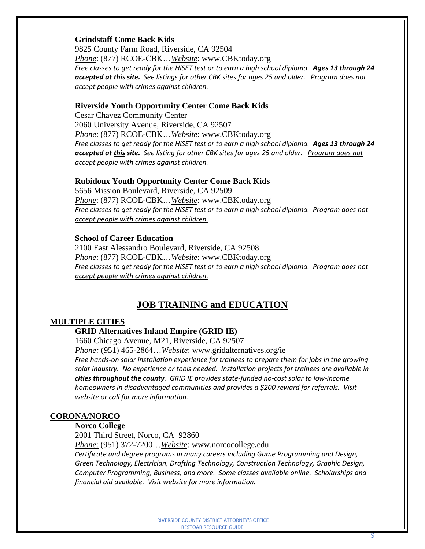#### **Grindstaff Come Back Kids**

9825 County Farm Road, Riverside, CA 92504 *Phone*: (877) RCOE-CBK…*Website*: www.CBKtoday.org Free classes to get ready for the HiSET test or to earn a high school diploma. Ages 13 through 24 *accepted at this site. See listings for other CBK sites for ages 25 and older. Program does not accept people with crimes against children.*

#### **Riverside Youth Opportunity Center Come Back Kids**

Cesar Chavez Community Center 2060 University Avenue, Riverside, CA 92507 *Phone*: (877) RCOE-CBK…*Website*: www.CBKtoday.org Free classes to get ready for the HiSET test or to earn a high school diploma. Ages 13 through 24 *accepted at this site. See listing for other CBK sites for ages 25 and older. Program does not accept people with crimes against children.*

#### **Rubidoux Youth Opportunity Center Come Back Kids**

5656 Mission Boulevard, Riverside, CA 92509 *Phone*: (877) RCOE-CBK…*Website*: www.CBKtoday.org Free classes to get ready for the HiSET test or to earn a high school diploma. Program does not *accept people with crimes against children.*

#### **School of Career Education**

2100 East Alessandro Boulevard, Riverside, CA 92508 *Phone*: (877) RCOE-CBK…*Website*: www.CBKtoday.org *Free classes to get ready for the HiSET test or to earn a high school diploma. Program does not accept people with crimes against children.*

# **JOB TRAINING and EDUCATION**

# **MULTIPLE CITIES**

# **GRID Alternatives Inland Empire (GRID IE)**

1660 Chicago Avenue, M21, Riverside, CA 92507

*Phone:* (951) 465-2864…*Website*: www.gridalternatives.org/ie

*Free hands-on solar installation experience for trainees to prepare them for jobs in the growing solar industry. No experience or tools needed. Installation projects for trainees are available in cities throughout the county. GRID IE provides state-funded no-cost solar to low-income homeowners in disadvantaged communities and provides a \$200 reward for referrals. Visit website or call for more information.*

#### **CORONA/NORCO**

#### **Norco College**

2001 Third Street, Norco, CA 92860

*Phone*: (951) 372-7200…*Website*: www.norcocollege**.**edu *Certificate and degree programs in many careers including Game Programming and Design, Green Technology, Electrician, Drafting Technology, Construction Technology, Graphic Design, Computer Programming, Business, and more. Some classes available online. Scholarships and financial aid available. Visit website for more information.*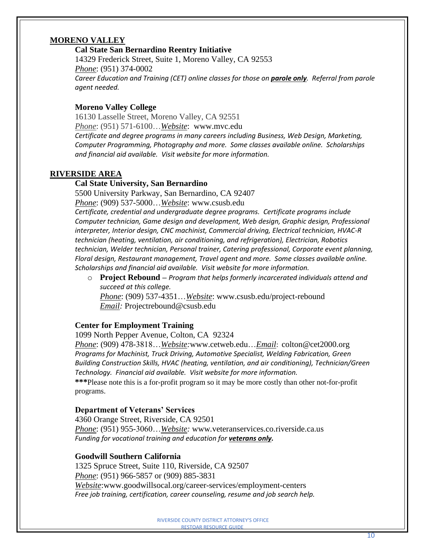# **MORENO VALLEY**

# **Cal State San Bernardino Reentry Initiative**

14329 Frederick Street, Suite 1, Moreno Valley, CA 92553 *Phone*: (951) 374-0002 *Career Education and Training (CET) online classes for those on parole only. Referral from parole agent needed.*

# **Moreno Valley College**

16130 Lasselle Street, Moreno Valley, CA 92551 *Phone*: (951) 571-6100…*Website*: www.mvc.edu

*Certificate and degree programs in many careers including Business, Web Design, Marketing, Computer Programming, Photography and more. Some classes available online. Scholarships and financial aid available. Visit website for more information.*

#### **RIVERSIDE AREA**

# **Cal State University, San Bernardino**

5500 University Parkway, San Bernardino, CA 92407

*Phone*: (909) 537-5000…*Website*: www.csusb.edu

*Certificate, credential and undergraduate degree programs. Certificate programs include Computer technician, Game design and development, Web design, Graphic design, Professional interpreter, Interior design, CNC machinist, Commercial driving, Electrical technician, HVAC-R technician (heating, ventilation, air conditioning, and refrigeration), Electrician, Robotics technician, Welder technician, Personal trainer, Catering professional, Corporate event planning, Floral design, Restaurant management, Travel agent and more. Some classes available online. Scholarships and financial aid available. Visit website for more information.* 

o **Project Rebound –** *Program that helps formerly incarcerated individuals attend and succeed at this college.*

*Phone*: (909) 537-4351…*Website*: www.csusb.edu/project-rebound *Email:* Projectrebound@csusb.edu

#### **Center for Employment Training**

1099 North Pepper Avenue, Colton, CA 92324

*Phone*: (909) 478-3818…*Website:*www[.cetweb.edu…](mailto:cetweb.edu)*Email*: [colton@cet2000.org](mailto:colton@cet2000.org) *Programs for Machinist, Truck Driving, Automotive Specialist, Welding Fabrication, Green Building Construction Skills, HVAC (heating, ventilation, and air conditioning), Technician/Green Technology. Financial aid available. Visit website for more information.*

**\*\*\***Please note this is a for-profit program so it may be more costly than other not-for-profit programs.

#### **Department of Veterans' Services**

4360 Orange Street, Riverside, CA 92501 *Phone*: (951) 955-3060…*Website:* www*.*[veteranservices.co.riverside.ca.us](http://veteranservices.co.riverside.ca.us/) Funding for vocational training and education for **veterans only.** 

#### **Goodwill Southern California**

1325 Spruce Street, Suite 110, Riverside, CA 92507 *Phone*: (951) 966-5857 or (909) 885-3831 *Website*:www.goodwillsocal.org/career-services/employment-centers *Free job training, certification, career counseling, resume and job search help.*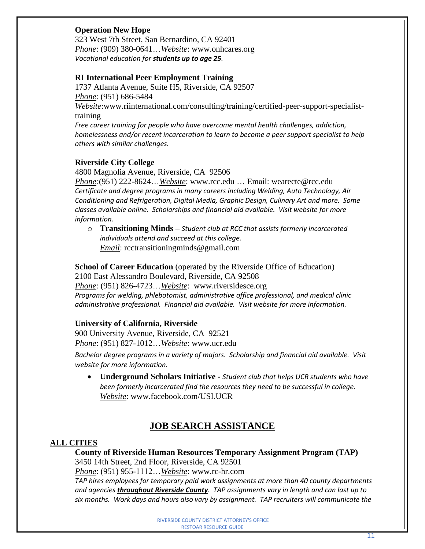# **Operation New Hope**

323 West 7th Street, San Bernardino, CA 92401 *Phone*: (909) 380-0641…*Website*: www.onhcares.org *Vocational education for students up to age 25.*

# **RI International Peer Employment Training**

1737 Atlanta Avenue, Suite H5, Riverside, CA 92507 *Phone*: (951) 686-5484 *Website*[:www.riinternational.com/consulting/training/certified-peer-support-specialist](http://www.riinternational.com/consulting/training/certified-peer-support-specialist-)training *Free career training for people who have overcome mental health challenges, addiction, homelessness and/or recent incarceration to learn to become a peer support specialist to help others with similar challenges.*

#### **Riverside City College**

4800 Magnolia Avenue, Riverside, CA 92506

*Phone:*(951) 222-8624…*Website*: [www.rcc.edu](http://www.rcc.edu/) … Email: [wearecte@rcc.edu](mailto:wearecte@rcc.edu) *Certificate and degree programs in many careers including Welding, Auto Technology, Air Conditioning and Refrigeration, Digital Media, Graphic Design, Culinary Art and more. Some classes available online. Scholarships and financial aid available. Visit website for more information.*

o **Transitioning Minds –** *Student club at RCC that assists formerly incarcerated individuals attend and succeed at this college. Email*: rcctransitioningminds@gmail.com

**School of Career Education** (operated by the Riverside Office of Education) 2100 East Alessandro Boulevard, Riverside, CA 92508 *Phone*: (951) 826-4723…*Website*: www.riversidesce.org *Programs for welding, phlebotomist, administrative office professional, and medical clinic* 

*administrative professional. Financial aid available. Visit website for more information.*

# **University of California, Riverside**

900 University Avenue, Riverside, CA 92521 *Phone*: (951) 827-1012…*Website*: www.ucr.edu

*Bachelor degree programs in a variety of majors. Scholarship and financial aid available. Visit website for more information.* 

• **Underground Scholars Initiative -** *Student club that helps UCR students who have been formerly incarcerated find the resources they need to be successful in college. Website*: www.facebook.com/USI.UCR

# **JOB SEARCH ASSISTANCE**

# **ALL CITIES**

**County of Riverside Human Resources Temporary Assignment Program (TAP)** 3450 14th Street, 2nd Floor, Riverside, CA 92501

*Phone*: (951) 955-1112…*Website*: www.rc-hr.com

*TAP hires employees for temporary paid work assignments at more than 40 county departments and agencies throughout Riverside County. TAP assignments vary in length and can last up to six months. Work days and hours also vary by assignment. TAP recruiters will communicate the*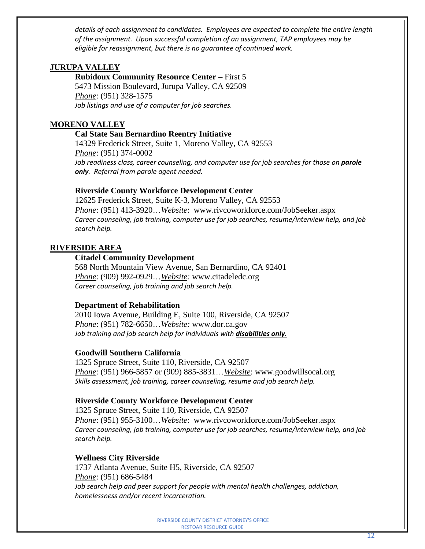*details of each assignment to candidates. Employees are expected to complete the entire length of the assignment. Upon successful completion of an assignment, TAP employees may be eligible for reassignment, but there is no guarantee of continued work.*

# **JURUPA VALLEY**

**Rubidoux Community Resource Center –** First 5 5473 Mission Boulevard, Jurupa Valley, CA 92509 *Phone*: (951) 328-1575 *Job listings and use of a computer for job searches.*

# **MORENO VALLEY**

#### **Cal State San Bernardino Reentry Initiative**

14329 Frederick Street, Suite 1, Moreno Valley, CA 92553 *Phone*: (951) 374-0002 *Job readiness class, career counseling, and computer use for job searches for those on parole only. Referral from parole agent needed.*

#### **Riverside County Workforce Development Center**

12625 [Frederick](http://maps.google.com/maps?q=12625+Frederick+Street,+Suite+K-3++Moreno+Valley,+CA+92553&client=safari&oe=UTF-8&hnear=12625+Frederick+St+%233,+Moreno+Valley,+Riverside,+California+92553&gl=us&t=m&z=16) Street, Suite K-3, Moreno Valley, CA 92553 *Phone*: (951) 413-3920…*Website*: www.rivcoworkforce.com/JobSeeker.aspx *Career counseling, job training, computer use for job searches, resume/interview help, and job search help.*

#### **RIVERSIDE AREA**

#### **Citadel Community Development**

568 North Mountain View Avenue, San Bernardino, CA 92401 *Phone*: (909) 992-0929…*Website:* [www.citadeledc.org](http://www.citadeledc.org/) *Career counseling, job training and job search help.*

#### **Department of Rehabilitation**

2010 Iowa Avenue, Building E, Suite 100, Riverside, CA 92507 *Phone*: (951) 782-6650…*Website:* www.dor.ca.gov *Job training and job search help for individuals with disabilities only.*

# **Goodwill Southern California**

1325 Spruce Street, Suite 110, Riverside, CA 92507 *Phone*: (951) 966-5857 or (909) 885-3831…*Website*: [www.goodwillsocal.org](http://www.goodwillsocal.org/) *Skills assessment, job training, career counseling, resume and job search help.*

#### **Riverside County Workforce Development Center**

1325 [Spruce](http://maps.google.com/maps?f=q&source=s_q&hl=en&geocode=&q=1325+Spruce+Street,++Riverside,+CA+92507&aq=&sll=33.700334,-116.233935&sspn=0.100684,0.297146&ie=UTF8&hq=&hnear=1325+Spruce+St,+Riverside,+California+92507&t=h&z=17) Street, Suite 110, Riverside, CA 92507 *Phone*: (951) 955-3100…*Website*: www.rivcoworkforce.com/JobSeeker.aspx *Career counseling, job training, computer use for job searches, resume/interview help, and job search help.*

#### **Wellness City Riverside**

1737 Atlanta Avenue, Suite H5, Riverside, CA 92507 *Phone*: (951) 686-5484 *Job search help and peer support for people with mental health challenges, addiction, homelessness and/or recent incarceration.*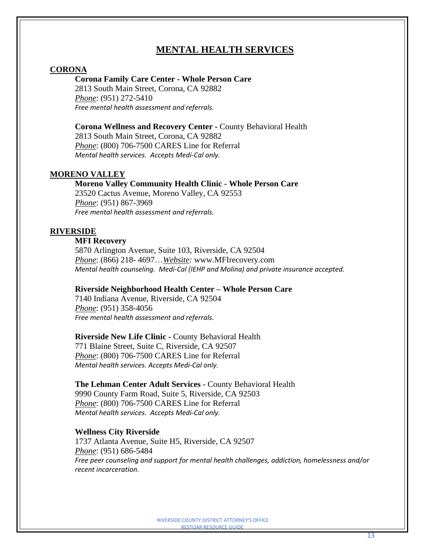# **MENTAL HEALTH SERVICES**

#### **CORONA**

#### **Corona Family Care Center - Whole Person Care**

2813 South Main Street, Corona, CA 92882 *Phone*: (951) 272-5410 *Free mental health assessment and referrals.*

**Corona Wellness and Recovery Center -** County Behavioral Health 2813 South Main Street, Corona, CA 92882 *Phone*: (800) 706-7500 CARES Line for Referral *Mental health services. Accepts Medi-Cal only.*

#### **MORENO VALLEY**

#### **Moreno Valley Community Health Clinic - Whole Person Care**

23520 Cactus Avenue, Moreno Valley, CA 92553 *Phone*: (951) 867-3969 *Free mental health assessment and referrals.*

#### **RIVERSIDE**

#### **MFI Recovery**

5870 Arlington Avenue, Suite 103, Riverside, CA 92504 *Phone*: (866) 218- 4697…*Website:* www.MFIrecovery.com *Mental health counseling. Medi-Cal (IEHP and Molina) and private insurance accepted.*

#### **Riverside Neighborhood Health Center – Whole Person Care**

7140 Indiana Avenue, Riverside, CA 92504 *Phone*: (951) 358-4056 *Free mental health assessment and referrals.*

#### **Riverside New Life Clinic -** County Behavioral Health

771 Blaine Street, Suite C, Riverside, CA 92507 *Phone*: (800) 706-7500 CARES Line for Referral *Mental health services. Accepts Medi-Cal only.*

#### **The Lehman Center Adult Services -** County Behavioral Health

9990 County Farm Road, Suite 5, Riverside, CA 92503 *Phone*: (800) 706-7500 CARES Line for Referral *Mental health services. Accepts Medi-Cal only.*

#### **Wellness City Riverside**

1737 Atlanta Avenue, Suite H5, Riverside, CA 92507 *Phone*: (951) 686-5484 *Free peer counseling and support for mental health challenges, addiction, homelessness and/or recent incarceration.*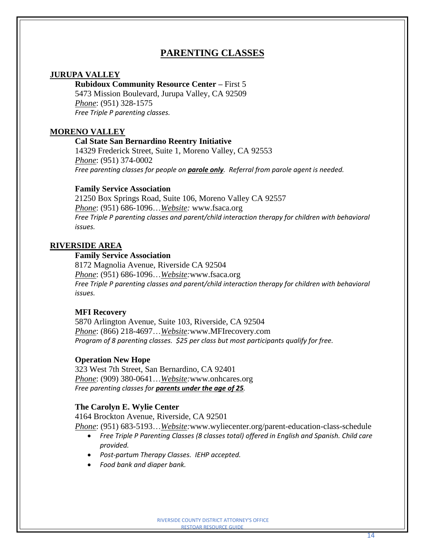# **PARENTING CLASSES**

#### **JURUPA VALLEY**

#### **Rubidoux Community Resource Center –** First 5

5473 Mission Boulevard, Jurupa Valley, CA 92509 *Phone*: (951) 328-1575 *Free Triple P parenting classes.*

#### **MORENO VALLEY**

#### **Cal State San Bernardino Reentry Initiative**

14329 Frederick Street, Suite 1, Moreno Valley, CA 92553 *Phone*: (951) 374-0002 *Free parenting classes for people on parole only. Referral from parole agent is needed.*

#### **Family Service Association**

21250 Box Springs Road, Suite 106, Moreno Valley CA 92557 *Phone*: (951) 686-1096…*Website:* [www.fsaca.org](http://www.fsaca.org/) *Free Triple P parenting classes and parent/child interaction therapy for children with behavioral issues.*

#### **RIVERSIDE AREA**

#### **Family Service Association**

8172 Magnolia Avenue, Riverside CA 92504 *Phone*: (951) 686-1096…*Website:*[www.fsaca.org](http://www.fsaca.org/) *Free Triple P parenting classes and parent/child interaction therapy for children with behavioral issues.*

#### **MFI Recovery**

5870 Arlington Avenue, Suite 103, Riverside, CA 92504 *Phone*: (866) 218-4697…*Website:*[www.MFIrecovery.com](http://www.mfirecovery.com/) *Program of 8 parenting classes. \$25 per class but most participants qualify for free.*

#### **Operation New Hope**

323 West 7th Street, San Bernardino, CA 92401 *Phone*: (909) 380-0641…*Website:*www*.*onhcares.org *Free parenting classes for parents under the age of 25.*

#### **The Carolyn E. Wylie Center**

4164 Brockton Avenue, [Riverside,](http://maps.google.com/maps?z=16&q=4164%2Bbrockton%2Bavenue%2Briverside%2C%2Bca%2B92501) CA 92501 *Phone*: (951) 683-5193…*Website:*www.wyliecenter.org/parent-education-class-schedule

- *Free Triple P Parenting Classes (8 classes total) offered in English and Spanish. Child care provided.*
- *Post-partum Therapy Classes. IEHP accepted.*
- *Food bank and diaper bank.*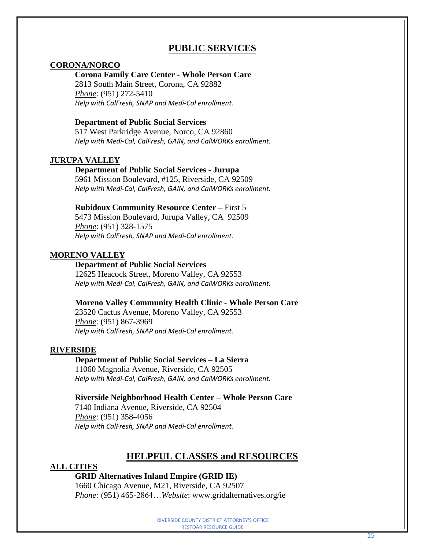# **PUBLIC SERVICES**

#### **CORONA/NORCO**

### **Corona Family Care Center - Whole Person Care**

2813 South Main Street, Corona, CA 92882 *Phone*: (951) 272-5410 *Help with CalFresh, SNAP and Medi-Cal enrollment.*

#### **Department of Public Social Services**

517 West Parkridge Avenue, Norco, CA 92860 *Help with Medi-Cal, CalFresh, GAIN, and CalWORKs enrollment.* 

#### **JURUPA VALLEY**

#### **Department of Public Social Services - Jurupa**

5961 Mission Boulevard, #125, Riverside, CA 92509 *Help with Medi-Cal, CalFresh, GAIN, and CalWORKs enrollment.* 

#### **Rubidoux Community Resource Center –** First 5

5473 Mission Boulevard, Jurupa Valley, CA 92509 *Phone*: (951) 328-1575 *Help with CalFresh, SNAP and Medi-Cal enrollment.*

#### **MORENO VALLEY**

#### **Department of Public Social Services**

12625 Heacock Street, Moreno Valley, CA 92553 *Help with Medi-Cal, CalFresh, GAIN, and CalWORKs enrollment.* 

#### **Moreno Valley Community Health Clinic - Whole Person Care**

23520 Cactus Avenue, Moreno Valley, CA 92553 *Phone*: (951) 867-3969 *Help with CalFresh, SNAP and Medi-Cal enrollment.*

#### **RIVERSIDE**

# **Department of Public Social Services – La Sierra**

11060 Magnolia Avenue, Riverside, CA 92505 *Help with Medi-Cal, CalFresh, GAIN, and CalWORKs enrollment.*

#### **Riverside Neighborhood Health Center – Whole Person Care**

7140 Indiana Avenue, Riverside, CA 92504 *Phone*: (951) 358-4056 *Help with CalFresh, SNAP and Medi-Cal enrollment.*

# **HELPFUL CLASSES and RESOURCES**

#### **ALL CITIES**

#### **GRID Alternatives Inland Empire (GRID IE)**

1660 Chicago Avenue, M21, Riverside, CA 92507 *Phone:* (951) 465-2864…*Website*: www.gridalternatives.org/ie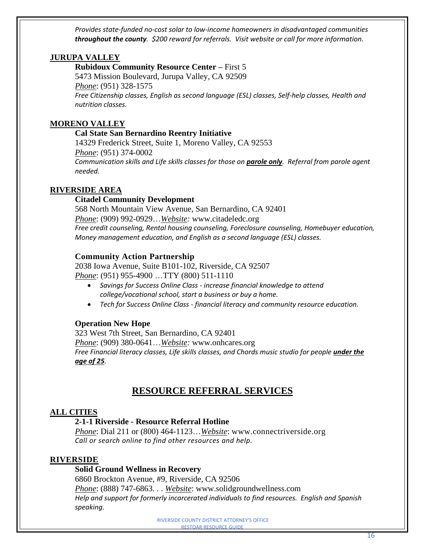*Provides state-funded no-cost solar to low-income homeowners in disadvantaged communities throughout the county. \$200 reward for referrals. Visit website or call for more information.*

# **JURUPA VALLEY**

**Rubidoux Community Resource Center –** First 5 5473 Mission Boulevard, Jurupa Valley, CA 92509 *Phone*: (951) 328-1575 *Free Citizenship classes, English as second language (ESL) classes, Self-help classes, Health and nutrition classes.*

# **MORENO VALLEY**

# **Cal State San Bernardino Reentry Initiative**

14329 Frederick Street, Suite 1, Moreno Valley, CA 92553 *Phone*: (951) 374-0002 *Communication skills and Life skills classes for those on parole only. Referral from parole agent needed.*

# **RIVERSIDE AREA**

# **Citadel Community Development**

568 North Mountain View Avenue, San Bernardino, CA 92401 *Phone*: (909) 992-0929…*Website:* [www.citadeledc.org](http://www.citadeledc.org/) *Free credit counseling, Rental housing counseling, Foreclosure counseling, Homebuyer education, Money management education, and English as a second language (ESL) classes.*

# **Community Action Partnership**

2038 Iowa Avenue, Suite B101-102, Riverside, CA 92507 *Phone*: (951) 955-4900 …TTY (800) 511-1110

- *Savings for Success Online Class - increase financial knowledge to attend college/vocational school, start a business or buy a home.*
- *Tech for Success Online Class - financial literacy and community resource education.*

# **Operation New Hope**

323 West 7th Street, San Bernardino, CA 92401 *Phone*: (909) 380-0641…*Website:* www.onhcares.org *Free Financial literacy classes, Life skills classes, and Chords music studio for people under the age of 25.*

# **RESOURCE REFERRAL SERVICES**

# **ALL CITIES**

# **2-1-1 Riverside - Resource Referral Hotline**

*Phone*: Dial 211 or (800) 464-1123…*Website*: [www.connectriverside.org](http://www.connectriverside.org/) *Call or search online to find other resources and help.*

# **RIVERSIDE**

**Solid Ground Wellness in Recovery**

6860 Brockton Avenue, #9, Riverside, CA 92506 *Phone*: (888) 747-6863. . . *Website*: [www.solidgroundwellness.com](http://www.solidgroundwellness.com/) *Help and support for formerly incarcerated individuals to find resources. English and Spanish speaking.*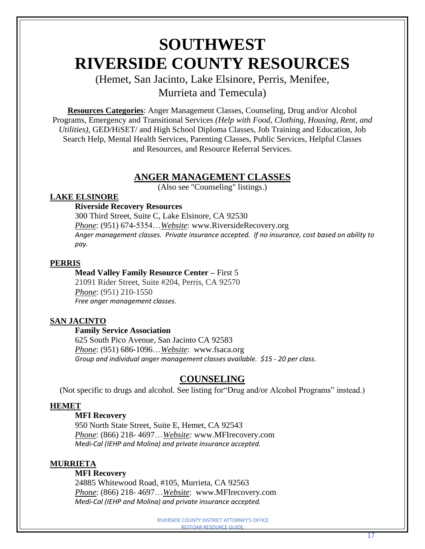# **SOUTHWEST RIVERSIDE COUNTY RESOURCES**

# (Hemet, San Jacinto, Lake Elsinore, Perris, Menifee, Murrieta and Temecula)

**Resources Categories**: Anger Management Classes, Counseling, Drug and/or Alcohol Programs, Emergency and Transitional Services *(Help with Food, Clothing, Housing, Rent, and Utilities)*, GED/HiSET/ and High School Diploma Classes, Job Training and Education, Job Search Help, Mental Health Services, Parenting Classes, Public Services, Helpful Classes and Resources, and Resource Referral Services.

# **ANGER MANAGEMENT CLASSES**

(Also see "Counseling" listings.)

# **LAKE ELSINORE**

# **Riverside Recovery Resources**

300 Third Street, Suite C, Lake Elsinore, CA 92530 *Phone*: (951) 674-5354…*Website*: [www.RiversideRecovery.org](http://www.riversiderecovery.org/) *Anger management classes. Private insurance accepted. If no insurance, cost based on ability to pay.*

# **PERRIS**

# **Mead Valley Family Resource Center –** First 5

21091 Rider Street, Suite #204, Perris, CA 92570 *Phone*: (951) 210-1550 *Free anger management classes.*

# **SAN JACINTO**

# **Family Service Association**

625 South Pico Avenue, San Jacinto CA 92583 *Phone*: (951) 686-1096…*Website*: [www.fsaca.org](http://www.fsaca.org/) *Group and individual anger management classes available. \$15 - 20 per class.*

# **COUNSELING**

(Not specific to drugs and alcohol. See listing for"Drug and/or Alcohol Programs" instead.)

# **HEMET**

# **MFI Recovery**

950 North State Street, Suite E, Hemet, CA 92543 *Phone*: (866) 218- 4697…*Website:* www.MFIrecovery.com *Medi-Cal (IEHP and Molina) and private insurance accepted.*

# **MURRIETA**

# **MFI Recovery**

24885 Whitewood Road, #105, Murrieta, CA 92563 *Phone*: (866) 218- 4697…*Website*: www.MFIrecovery.com *Medi-Cal (IEHP and Molina) and private insurance accepted.*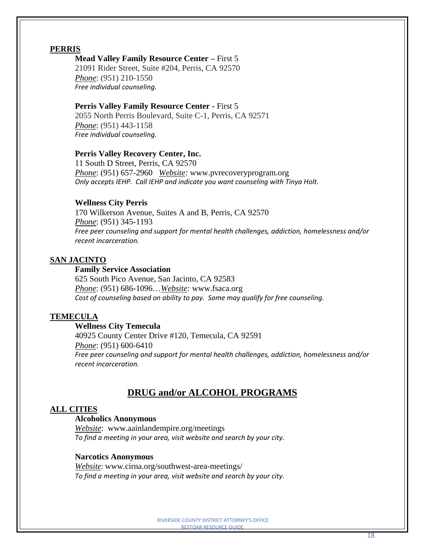#### **Mead Valley Family Resource Center –** First 5

21091 Rider Street, Suite #204, Perris, CA 92570 *Phone*: (951) 210-1550 *Free individual counseling.*

#### **Perris Valley Family Resource Center -** First 5

2055 North Perris Boulevard, Suite C-1, Perris, CA 92571 *Phone*: (951) 443-1158 *Free individual counseling.*

#### **Perris Valley Recovery Center, Inc.**

11 South D Street, Perris, CA 92570 *Phone*: (951) 657-2960 *Website:* [www.pvrecoveryprogram.org](http://www.pvrecoveryprogram.org/) *Only accepts IEHP. Call IEHP and indicate you want counseling with Tinya Holt.*

# **Wellness City Perris**

170 Wilkerson Avenue, Suites A and B, Perris, CA 92570 *Phone*: (951) 345-1193 *Free peer counseling and support for mental health challenges, addiction, homelessness and/or recent incarceration.* 

# **SAN JACINTO**

#### **Family Service Association**

625 South Pico Avenue, San Jacinto, CA 92583 *Phone*: (951) 686-1096…*Website:* [www.fsaca.org](http://www.fsaca.org/) *Cost of counseling based on ability to pay. Some may qualify for free counseling.*

#### **TEMECULA**

#### **Wellness City Temecula**

40925 County Center Drive #120, Temecula, CA 92591 *Phone*: (951) 600-6410 *Free peer counseling and support for mental health challenges, addiction, homelessness and/or recent incarceration.* 

# **DRUG and/or ALCOHOL PROGRAMS**

#### **ALL CITIES**

#### **Alcoholics Anonymous**

*Website*: [www.aainlandempire.org/meetings](http://www.aainlandempire.org/meetings) *To find a meeting in your area, visit website and search by your city.*

#### **Narcotics Anonymous**

*Website:* www.cirna.org/southwest-area-meetings/ *To find a meeting in your area, visit website and search by your city.*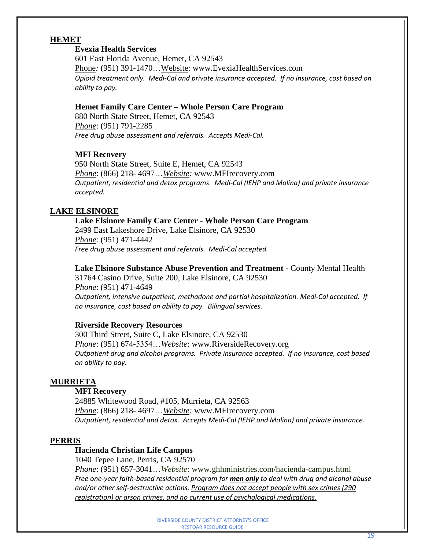# **HEMET**

# **Evexia Health Services**

601 East Florida Avenue, Hemet, CA 92543 Phone: (951) 391-1470...Website: [www.EvexiaHealthServices.com](http://www.evexiahealthservices.com/) *Opioid treatment only. Medi-Cal and private insurance accepted. If no insurance, cost based on ability to pay.*

#### **Hemet Family Care Center – Whole Person Care Program**

880 North State Street, Hemet, CA 92543 *Phone*: (951) 791-2285 *Free drug abuse assessment and referrals. Accepts Medi-Cal.*

# **MFI Recovery**

950 North State Street, Suite E, Hemet, CA 92543 *Phone*: (866) 218- 4697…*Website:* www.MFIrecovery.com *Outpatient, residential and detox programs. Medi-Cal (IEHP and Molina) and private insurance accepted.*

# **LAKE ELSINORE**

#### **Lake Elsinore Family Care Center - Whole Person Care Program** 2499 East Lakeshore Drive, Lake Elsinore, CA 92530 *Phone*: (951) 471-4442

*Free drug abuse assessment and referrals. Medi-Cal accepted.*

**Lake Elsinore Substance Abuse Prevention and Treatment -** County Mental Health

31764 Casino Drive, Suite 200, Lake Elsinore, CA 92530 *Phone*: (951) 471-4649 *Outpatient, intensive outpatient, methadone and partial hospitalization. Medi-Cal accepted. If no insurance, cost based on ability to pay. Bilingual services.*

# **Riverside Recovery Resources**

300 Third Street, Suite C, Lake Elsinore, CA 92530 *Phone*: (951) 674-5354…*Website*: [www.RiversideRecovery.org](http://www.riversiderecovery.org/) *Outpatient drug and alcohol programs. Private insurance accepted. If no insurance, cost based on ability to pay.*

#### **MURRIETA**

#### **MFI Recovery**

24885 Whitewood Road, #105, Murrieta, CA 92563 *Phone*: (866) 218- 4697…*Website:* www.MFIrecovery.com *Outpatient, residential and detox. Accepts Medi-Cal (IEHP and Molina) and private insurance.*

#### **PERRIS**

#### **Hacienda Christian Life Campus**

1040 Tepee Lane, Perris, CA 92570

*Phone*: (951) 657-3041…*Website*: www.ghhministries.com/hacienda-campus.html *Free one-year faith-based residential program for men only to deal with drug and alcohol abuse and/or other self-destructive actions. Program does not accept people with sex crimes (290 registration) or arson crimes, and no current use of psychological medications.*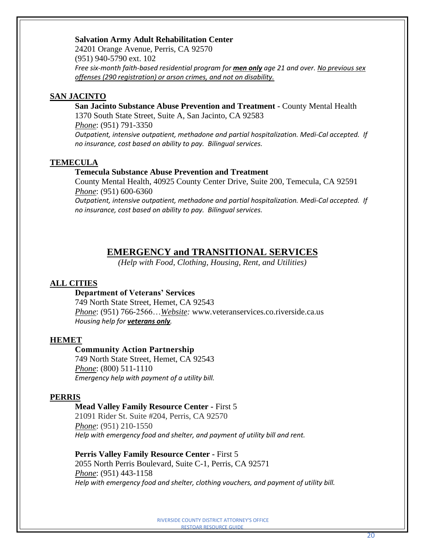#### **Salvation Army Adult Rehabilitation Center**

24201 Orange Avenue, Perris, CA 92570 (951) 940-5790 ext. 102 *Free six-month faith-based residential program for men only age 21 and over. No previous sex offenses (290 registration) or arson crimes, and not on disability.*

# **SAN JACINTO**

**San Jacinto Substance Abuse Prevention and Treatment -** County Mental Health 1370 South State Street, Suite A, San Jacinto, CA 92583 *Phone*: (951) 791-3350

*Outpatient, intensive outpatient, methadone and partial hospitalization. Medi-Cal accepted. If no insurance, cost based on ability to pay. Bilingual services.*

#### **TEMECULA**

#### **Temecula Substance Abuse Prevention and Treatment**

County Mental Health, 40925 County Center Drive, Suite 200, Temecula, CA 92591 *Phone*: (951) 600-6360

*Outpatient, intensive outpatient, methadone and partial hospitalization. Medi-Cal accepted. If no insurance, cost based on ability to pay. Bilingual services.*

#### **EMERGENCY and TRANSITIONAL SERVICES**

*(Help with Food, Clothing, Housing, Rent, and Utilities)*

#### **ALL CITIES**

#### **Department of Veterans' Services**

749 North State Street, Hemet, CA 92543 *Phone*: (951) 766-2566…*Website:* www*.*[veteranservices.co.riverside.ca.us](http://veteranservices.co.riverside.ca.us/) *Housing help for veterans only.*

#### **HEMET**

#### **Community Action Partnership**

749 North State Street, Hemet, CA 92543 *Phone*: (800) 511-1110 *Emergency help with payment of a utility bill.*

#### **PERRIS**

#### **Mead Valley Family Resource Center -** First 5

21091 Rider St. Suite #204, Perris, CA 92570 *Phone*: (951) 210-1550 *Help with emergency food and shelter, and payment of utility bill and rent.*

#### **Perris Valley Family Resource Center -** First 5

2055 North Perris Boulevard, Suite C-1, Perris, CA 92571 *Phone*: (951) 443-1158 *Help with emergency food and shelter, clothing vouchers, and payment of utility bill.*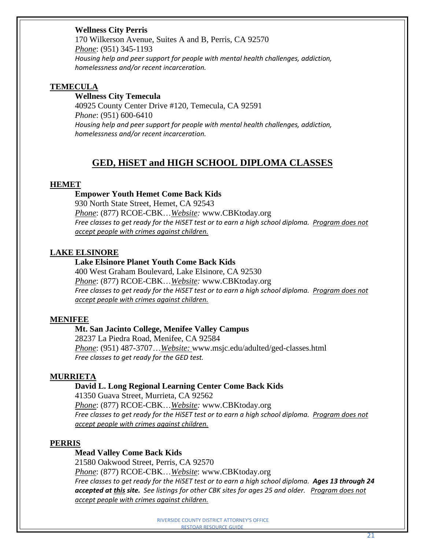# **Wellness City Perris**

170 Wilkerson Avenue, Suites A and B, Perris, CA 92570 *Phone*: (951) 345-1193 *Housing help and peer support for people with mental health challenges, addiction, homelessness and/or recent incarceration.*

#### **TEMECULA**

# **Wellness City Temecula**

40925 County Center Drive #120, Temecula, CA 92591 *Phone*: (951) 600-6410 *Housing help and peer support for people with mental health challenges, addiction, homelessness and/or recent incarceration.*

# **GED, HiSET and HIGH SCHOOL DIPLOMA CLASSES**

#### **HEMET**

#### **Empower Youth Hemet Come Back Kids**

930 North State Street, Hemet, CA 92543 *Phone*: (877) RCOE-CBK…*Website:* www.CBKtoday.org *Free classes to get ready for the HiSET test or to earn a high school diploma. Program does not accept people with crimes against children.*

#### **LAKE ELSINORE**

#### **Lake Elsinore Planet Youth Come Back Kids**

400 West Graham Boulevard, Lake Elsinore, CA 92530 *Phone*: (877) RCOE-CBK…*Website:* www*.*CBKtoday.org *Free classes to get ready for the HiSET test or to earn a high school diploma. Program does not accept people with crimes against children.*

#### **MENIFEE**

#### **Mt. San Jacinto College, Menifee Valley Campus**

28237 La Piedra Road, Menifee, CA 92584 *Phone*: (951) 487-3707…*Website:* www.msjc.edu/adulted/ged-classes.html *Free classes to get ready for the GED test.*

#### **MURRIETA**

#### **David L. Long Regional Learning Center Come Back Kids**

41350 Guava Street, Murrieta, CA 92562 *Phone*: (877) RCOE-CBK…*Website:* www*.*CBKtoday.org *Free classes to get ready for the HiSET test or to earn a high school diploma. Program does not accept people with crimes against children.*

#### **PERRIS**

#### **Mead Valley Come Back Kids**

21580 Oakwood Street, Perris, CA 92570 *Phone*: (877) RCOE-CBK…*Website*: www.CBKtoday.org *Free classes to get ready for the HiSET test or to earn a high school diploma. Ages 13 through 24 accepted at this site. See listings for other CBK sites for ages 25 and older. Program does not accept people with crimes against children.*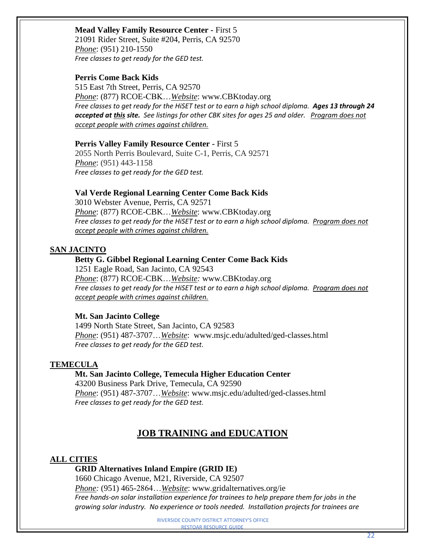# **Mead Valley Family Resource Center -** First 5

21091 Rider Street, Suite #204, Perris, CA 92570 *Phone*: (951) 210-1550 *Free classes to get ready for the GED test.*

# **Perris Come Back Kids**

515 East 7th Street, Perris, CA 92570 *Phone*: (877) RCOE-CBK…*Website*: www.CBKtoday.org *Free classes to get ready for the HiSET test or to earn a high school diploma. Ages 13 through 24 accepted at this site. See listings for other CBK sites for ages 25 and older. Program does not accept people with crimes against children.*

#### **Perris Valley Family Resource Center -** First 5

2055 North Perris Boulevard, Suite C-1, Perris, CA 92571 *Phone*: (951) 443-1158 *Free classes to get ready for the GED test.*

# **Val Verde Regional Learning Center Come Back Kids**

3010 Webster Avenue, Perris, CA 92571 *Phone*: (877) RCOE-CBK…*Website*: www*.*CBKtoday.org *Free classes to get ready for the HiSET test or to earn a high school diploma. Program does not accept people with crimes against children.*

# **SAN JACINTO**

#### **Betty G. Gibbel Regional Learning Center Come Back Kids**

1251 Eagle Road, San Jacinto, CA 92543 *Phone*: (877) RCOE-CBK…*Website:* www*.*CBKtoday.org *Free classes to get ready for the HiSET test or to earn a high school diploma. Program does not accept people with crimes against children.*

# **Mt. San Jacinto College**

1499 North State [Street, San Jacinto, CA 92583](https://www.bing.com/maps?&ty=18&q=Mt.%20San%20Jacinto%20College&satid=id.sid%3ad171c940-9a2c-96cb-baed-ddd246ad1e09&ppois=34.12682342529297_-117.33547973632812_Mt.%20San%20Jacinto%20College_~&cp=34.126823~-117.33548&v=2&sV=1) *Phone*: (951) 487-3707…*Website*: www.msjc.edu/adulted/ged-classes.html *Free classes to get ready for the GED test.*

# **TEMECULA**

**Mt. San Jacinto College, Temecula Higher Education Center** [43200 Business Park Drive, Temecula, CA 92590](https://goo.gl/maps/2VST53uLvVm) *Phone*: (951) 487-3707…*Website*: www.msjc.edu/adulted/ged-classes.html *Free classes to get ready for the GED test.* 

# **JOB TRAINING and EDUCATION**

# **ALL CITIES**

# **GRID Alternatives Inland Empire (GRID IE)**

1660 Chicago Avenue, M21, Riverside, CA 92507 *Phone:* (951) 465-2864…*Website*: www.gridalternatives.org/ie *Free hands-on solar installation experience for trainees to help prepare them for jobs in the growing solar industry. No experience or tools needed. Installation projects for trainees are*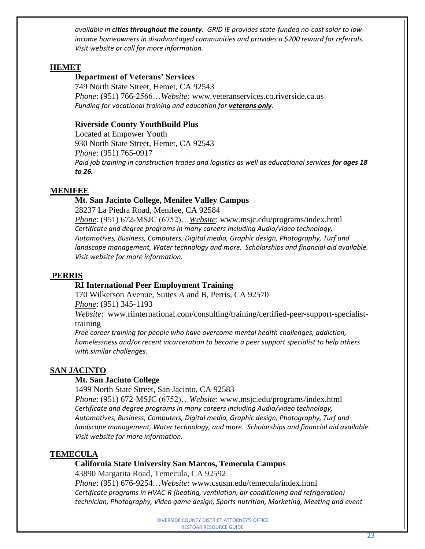*available in cities throughout the county. GRID IE provides state-funded no-cost solar to lowincome homeowners in disadvantaged communities and provides a \$200 reward for referrals. Visit website or call for more information.*

# **HEMET**

# **Department of Veterans' Services**

749 North State Street, Hemet, CA 92543 *Phone*: (951) 766-2566…*Website:* www*.*[veteranservices.co.riverside.ca.us](http://veteranservices.co.riverside.ca.us/) *Funding for vocational training and education for veterans only.*

# **Riverside County YouthBuild Plus**

Located at Empower Youth 930 North State Street, Hemet, CA 92543 *Phone*: (951) 765-0917 *Paid job training in construction trades and logistics as well as educational services for ages 18 to 26.*

# **MENIFEE**

#### **Mt. San Jacinto College, Menifee Valley Campus**

28237 La Piedra Road, Menifee, CA 92584 *Phone*: (951) 672-MSJC (6752)…*Website*: www.msjc.edu/programs/index.html *Certificate and degree programs in many careers including Audio/video technology, Automotives, Business, Computers, Digital media, Graphic design, Photography, Turf and landscape management, Water technology and more. Scholarships and financial aid available. Visit website for more information.* 

# **PERRIS**

#### **RI International Peer Employment Training**

170 Wilkerson Avenue, Suites A and B, Perris, CA 92570 *Phone*: (951) 345-1193

*Website*: [www.riinternational.com/consulting/training/certified-peer-support-specialist](http://www.riinternational.com/consulting/training/certified-peer-support-specialist-)training

*Free career training for people who have overcome mental health challenges, addiction, homelessness and/or recent incarceration to become a peer support specialist to help others with similar challenges.*

#### **SAN JACINTO**

#### **Mt. San Jacinto College**

[1499 North State Street, San Jacinto, CA 92583](https://www.bing.com/maps?&ty=18&q=Mt.%20San%20Jacinto%20College&satid=id.sid%3ad171c940-9a2c-96cb-baed-ddd246ad1e09&ppois=34.12682342529297_-117.33547973632812_Mt.%20San%20Jacinto%20College_~&cp=34.126823~-117.33548&v=2&sV=1)

*Phone*: (951) 672-MSJC (6752)…*Website*: www.msjc.edu/programs/index.html *Certificate and degree programs in many careers including Audio/video technology, Automotives, Business, Computers, Digital media, Graphic design, Photography, Turf and landscape management, Water technology, and more. Scholarships and financial aid available. Visit website for more information.* 

# **TEMECULA**

#### **California State University San Marcos, Temecula Campus**

43890 Margarita Road, Temecula, CA 92592

*Phone*: (951) 676-9254…*Website*: www.csusm.edu/temecula/index.html *Certificate programs in HVAC-R (heating, ventilation, air conditioning and refrigeration) technician, Photography, Video game design, Sports nutrition, Marketing, Meeting and event*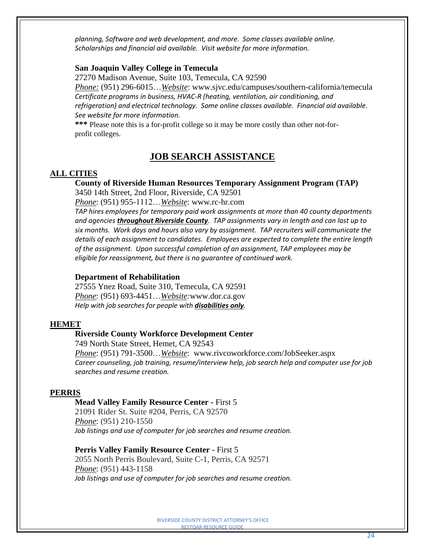*planning, Software and web development, and more. Some classes available online. Scholarships and financial aid available. Visit website for more information.*

# **San Joaquin Valley College in Temecula**

27270 Madison Avenue, Suite 103, Temecula, CA 92590

*Phone:* (951) 296-6015…*Website*: www.sjvc.edu/campuses/southern-california/temecula *Certificate programs in business, HVAC-R (heating, ventilation, air conditioning, and refrigeration) and electrical technology. Some online classes available. Financial aid available. See website for more information.* 

**\*\*\*** Please note this is a for-profit college so it may be more costly than other not-forprofit colleges.

# **JOB SEARCH ASSISTANCE**

#### **ALL CITIES**

#### **County of Riverside Human Resources Temporary Assignment Program (TAP)**

3450 14th Street, 2nd Floor, Riverside, CA 92501

*Phone*: (951) 955-1112…*Website*: www.rc-hr.com

*TAP hires employees for temporary paid work assignments at more than 40 county departments and agencies throughout Riverside County. TAP assignments vary in length and can last up to six months. Work days and hours also vary by assignment. TAP recruiters will communicate the details of each assignment to candidates. Employees are expected to complete the entire length of the assignment. Upon successful completion of an assignment, TAP employees may be eligible for reassignment, but there is no guarantee of continued work.*

#### **Department of Rehabilitation**

27555 Ynez Road, Suite 310, Temecula, CA 92591 *Phone*: (951) 693-4451…*Website:*[www.dor.ca.gov](http://www.dor.ca.gov/) *Help with job searches for people with disabilities only.*

#### **HEMET**

#### **Riverside County Workforce Development Center**

749 [North](http://maps.google.com/maps?q=749+North+State+Street,+Hemet,+CA++92543&hl=en&sll=33.760054,-116.972412&sspn=0.031861,0.074286&vpsrc=0&hnear=749+N+State+St,+Hemet,+California+92543&t=h&z=17) State Street, Hemet, CA 92543 *Phone*: (951) 791-3500…*Website*: www.rivcoworkforce.com/JobSeeker.aspx *Career counseling, job training, resume/interview help, job search help and computer use for job searches and resume creation.*

#### **PERRIS**

#### **Mead Valley Family Resource Center -** First 5

21091 Rider St. Suite #204, Perris, CA 92570 *Phone*: (951) 210-1550 *Job listings and use of computer for job searches and resume creation.*

#### **Perris Valley Family Resource Center -** First 5

2055 North Perris Boulevard, Suite C-1, Perris, CA 92571 *Phone*: (951) 443-1158 *Job listings and use of computer for job searches and resume creation.*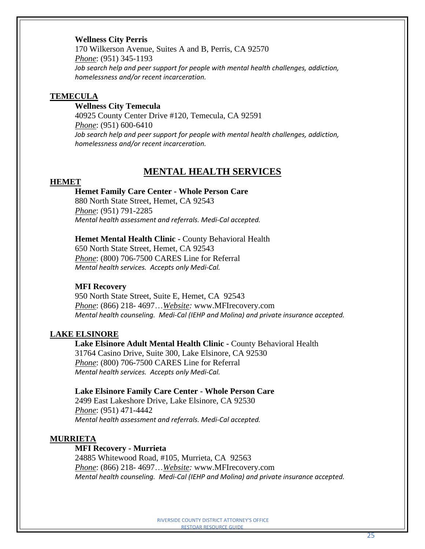# **Wellness City Perris**

170 Wilkerson Avenue, Suites A and B, Perris, CA 92570 *Phone*: (951) 345-1193 *Job search help and peer support for people with mental health challenges, addiction, homelessness and/or recent incarceration.*

#### **TEMECULA**

# **Wellness City Temecula**

40925 County Center Drive #120, Temecula, CA 92591 *Phone*: (951) 600-6410 *Job search help and peer support for people with mental health challenges, addiction, homelessness and/or recent incarceration.*

# **MENTAL HEALTH SERVICES**

#### **HEMET**

#### **Hemet Family Care Center - Whole Person Care**

880 North State Street, Hemet, CA 92543 *Phone*: (951) 791-2285 *Mental health assessment and referrals. Medi-Cal accepted.*

#### **Hemet Mental Health Clinic -** County Behavioral Health

650 North State Street, Hemet, CA 92543 *Phone*: (800) 706-7500 CARES Line for Referral *Mental health services. Accepts only Medi-Cal.*

#### **MFI Recovery**

950 North State Street, Suite E, Hemet, CA 92543 *Phone*: (866) 218- 4697…*Website:* www.MFIrecovery.com *Mental health counseling. Medi-Cal (IEHP and Molina) and private insurance accepted.*

#### **LAKE ELSINORE**

**Lake Elsinore Adult Mental Health Clinic -** County Behavioral Health 31764 Casino Drive, Suite 300, Lake Elsinore, CA 92530 *Phone*: (800) 706-7500 CARES Line for Referral *Mental health services. Accepts only Medi-Cal.*

#### **Lake Elsinore Family Care Center - Whole Person Care**

2499 East Lakeshore Drive, Lake Elsinore, CA 92530 *Phone*: (951) 471-4442 *Mental health assessment and referrals. Medi-Cal accepted.*

#### **MURRIETA**

#### **MFI Recovery - Murrieta**

24885 Whitewood Road, #105, Murrieta, CA 92563 *Phone*: (866) 218- 4697…*Website:* www.MFIrecovery.com *Mental health counseling. Medi-Cal (IEHP and Molina) and private insurance accepted.*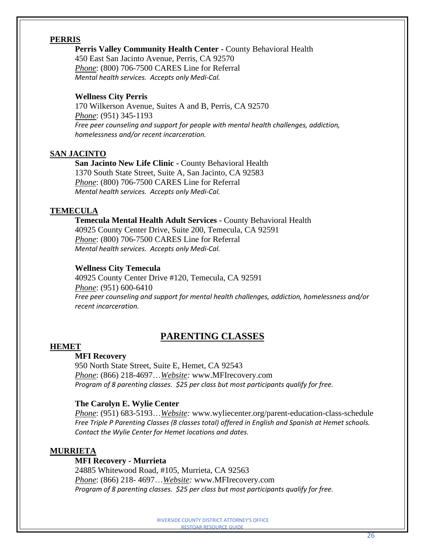**Perris Valley Community Health Center -** County Behavioral Health 450 East San Jacinto Avenue, Perris, CA 92570 *Phone*: (800) 706-7500 CARES Line for Referral *Mental health services. Accepts only Medi-Cal.*

#### **Wellness City Perris**

170 Wilkerson Avenue, Suites A and B, Perris, CA 92570 *Phone*: (951) 345-1193 *Free peer counseling and support for people with mental health challenges, addiction, homelessness and/or recent incarceration.*

# **SAN JACINTO**

**San Jacinto New Life Clinic -** County Behavioral Health 1370 South State Street, Suite A, San Jacinto, CA 92583 *Phone*: (800) 706-7500 CARES Line for Referral *Mental health services. Accepts only Medi-Cal.*

#### **TEMECULA**

**Temecula Mental Health Adult Services -** County Behavioral Health 40925 County Center Drive, Suite 200, Temecula, CA 92591 *Phone*: (800) 706-7500 CARES Line for Referral *Mental health services. Accepts only Medi-Cal.*

#### **Wellness City Temecula**

40925 County Center Drive #120, Temecula, CA 92591 *Phone*: (951) 600-6410 *Free peer counseling and support for mental health challenges, addiction, homelessness and/or recent incarceration.*

# **PARENTING CLASSES**

#### **HEMET**

#### **MFI Recovery**

950 North State Street, Suite E, Hemet, CA 92543 *Phone*: (866) 218-4697…*Website:* www.MFIrecovery.com *Program of 8 parenting classes. \$25 per class but most participants qualify for free.*

#### **The Carolyn E. Wylie Center**

*Phone*: (951) 683-5193…*Website:* www.wyliecenter.org/parent-education-class-schedule *Free Triple P Parenting Classes (8 classes total) offered in English and Spanish at Hemet schools. Contact the Wylie Center for Hemet locations and dates.*

#### **MURRIETA**

#### **MFI Recovery - Murrieta**

24885 Whitewood Road, #105, Murrieta, CA 92563 *Phone*: (866) 218- 4697…*Website:* www.MFIrecovery.com *Program of 8 parenting classes. \$25 per class but most participants qualify for free.*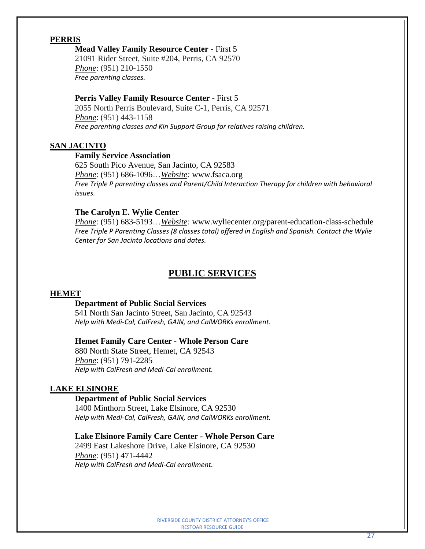#### **Mead Valley Family Resource Center -** First 5

21091 Rider Street, Suite #204, Perris, CA 92570 *Phone*: (951) 210-1550 *Free parenting classes.*

#### **Perris Valley Family Resource Center -** First 5

2055 North Perris Boulevard, Suite C-1, Perris, CA 92571 *Phone*: (951) 443-1158 *Free parenting classes and Kin Support Group for relatives raising children.*

# **SAN JACINTO**

#### **Family Service Association**

625 South Pico Avenue, San Jacinto, CA 92583 *Phone*: (951) 686-1096…*Website:* [www.fsaca.org](http://www.fsaca.org/) *Free Triple P parenting classes and Parent/Child Interaction Therapy for children with behavioral issues.*

#### **The Carolyn E. Wylie Center**

*Phone*: (951) 683-5193…*Website:* www.wyliecenter.org/parent-education-class-schedule *Free Triple P Parenting Classes (8 classes total) offered in English and Spanish. Contact the Wylie Center for San Jacinto locations and dates.*

# **PUBLIC SERVICES**

#### **HEMET**

#### **Department of Public Social Services**

541 North San Jacinto Street, San Jacinto, CA 92543 *Help with Medi-Cal, CalFresh, GAIN, and CalWORKs enrollment.* 

#### **Hemet Family Care Center - Whole Person Care**

880 North State Street, Hemet, CA 92543 *Phone*: (951) 791-2285 *Help with CalFresh and Medi-Cal enrollment.*

#### **LAKE ELSINORE**

#### **Department of Public Social Services**

1400 Minthorn Street, Lake Elsinore, CA 92530 *Help with Medi-Cal, CalFresh, GAIN, and CalWORKs enrollment.*

# **Lake Elsinore Family Care Center - Whole Person Care**

2499 East Lakeshore Drive, Lake Elsinore, CA 92530 *Phone*: (951) 471-4442 *Help with CalFresh and Medi-Cal enrollment.*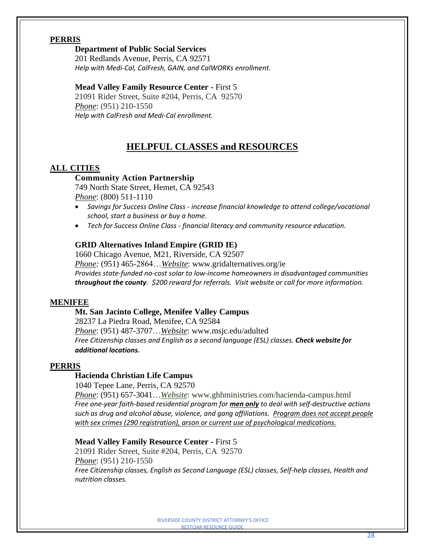#### **Department of Public Social Services**

201 Redlands Avenue, Perris, CA 92571 *Help with Medi-Cal, CalFresh, GAIN, and CalWORKs enrollment.*

#### **Mead Valley Family Resource Center -** First 5

21091 Rider Street, Suite #204, Perris, CA 92570 *Phone*: (951) 210-1550 *Help with CalFresh and Medi-Cal enrollment.*

# **HELPFUL CLASSES and RESOURCES**

#### **ALL CITIES**

#### **Community Action Partnership**

749 North State Street, Hemet, CA 92543 *Phone*: (800) 511-1110

- *Savings for Success Online Class - increase financial knowledge to attend college/vocational school, start a business or buy a home.*
- *Tech for Success Online Class - financial literacy and community resource education.*

#### **GRID Alternatives Inland Empire (GRID IE)**

1660 Chicago Avenue, M21, Riverside, CA 92507 *Phone:* (951) 465-2864…*Website*: www.gridalternatives.org/ie *Provides state-funded no-cost solar to low-income homeowners in disadvantaged communities throughout the county. \$200 reward for referrals. Visit website or call for more information.*

#### **MENIFEE**

#### **Mt. San Jacinto College, Menifee Valley Campus**

28237 La Piedra Road, Menifee, CA 92584 *Phone*: (951) 487-3707…*Website*: www.msjc.edu/adulted *Free Citizenship classes and English as a second language (ESL) classes. Check website for additional locations.*

#### **PERRIS**

#### **Hacienda Christian Life Campus**

1040 Tepee Lane, Perris, CA 92570

*Phone*: (951) 657-3041…*Website*: www.ghhministries.com/hacienda-campus.html *Free one-year faith-based residential program for men only to deal with self-destructive actions such as drug and alcohol abuse, violence, and gang affiliations. Program does not accept people with sex crimes (290 registration), arson or current use of psychological medications.*

# **Mead Valley Family Resource Center -** First 5

21091 Rider Street, Suite #204, Perris, CA 92570 *Phone*: (951) 210-1550 *Free Citizenship classes, English as Second Language (ESL) classes, Self-help classes, Health and nutrition classes.*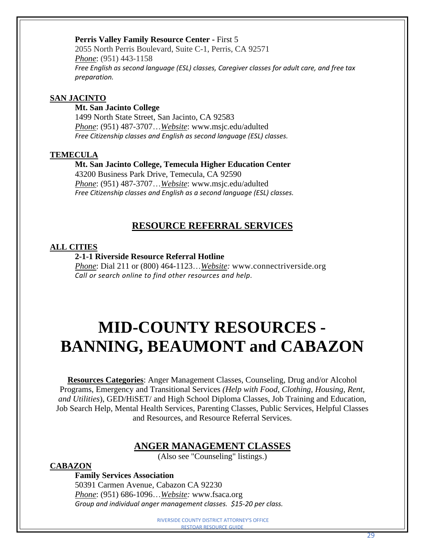# **Perris Valley Family Resource Center -** First 5

2055 North Perris Boulevard, Suite C-1, Perris, CA 92571 *Phone*: (951) 443-1158 *Free English as second language (ESL) classes, Caregiver classes for adult care, and free tax preparation.*

# **SAN JACINTO**

#### **Mt. San Jacinto College**

1499 North State [Street, San Jacinto, CA 92583](https://www.bing.com/maps?&ty=18&q=Mt.%20San%20Jacinto%20College&satid=id.sid%3ad171c940-9a2c-96cb-baed-ddd246ad1e09&ppois=34.12682342529297_-117.33547973632812_Mt.%20San%20Jacinto%20College_~&cp=34.126823~-117.33548&v=2&sV=1) *Phone*: (951) 487-3707…*Website*: www.msjc.edu/adulted *Free Citizenship classes and English as second language (ESL) classes.*

#### **TEMECULA**

# **Mt. San Jacinto College, Temecula Higher Education Center**

[43200 Business Park Drive, Temecula, CA 92590](https://goo.gl/maps/2VST53uLvVm) *Phone*: (951) 487-3707…*Website*: www.msjc.edu/adulted *Free Citizenship classes and English as a second language (ESL) classes.*

# **RESOURCE REFERRAL SERVICES**

#### **ALL CITIES**

#### **2-1-1 Riverside Resource Referral Hotline**

*Phone*: Dial 211 or (800) 464-1123…*Website:* [www.connectriverside.org](http://www.connectriverside.org/) *Call or search online to find other resources and help.*

# **MID-COUNTY RESOURCES - BANNING, BEAUMONT and CABAZON**

**Resources Categories**: Anger Management Classes, Counseling, Drug and/or Alcohol Programs, Emergency and Transitional Services *(Help with Food, Clothing, Housing, Rent, and Utilities*), GED/HiSET/ and High School Diploma Classes, Job Training and Education, Job Search Help, Mental Health Services, Parenting Classes, Public Services, Helpful Classes and Resources, and Resource Referral Services.

# **ANGER MANAGEMENT CLASSES**

(Also see "Counseling" listings.)

# **CABAZON**

**Family Services Association** 50391 Carmen Avenue, Cabazon CA 92230 *Phone*: (951) 686-1096…*Website:* [www.fsaca.org](http://www.fsaca.org/) *Group and individual anger management classes. \$15-20 per class.*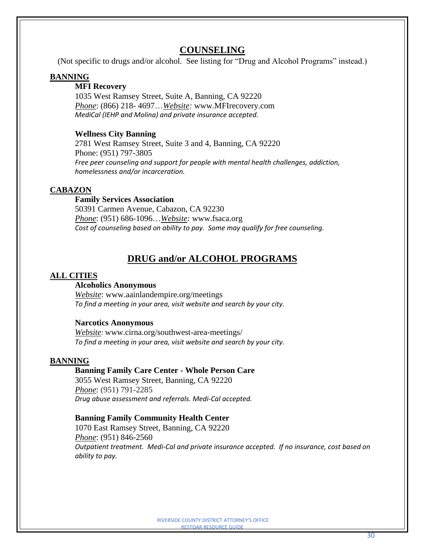# **COUNSELING**

(Not specific to drugs and/or alcohol. See listing for "Drug and Alcohol Programs" instead.)

#### **BANNING**

# **MFI Recovery**

1035 West Ramsey Street, Suite A, Banning, CA 92220 *Phone*: (866) 218- 4697…*Website:* www.MFIrecovery.com *MediCal (IEHP and Molina) and private insurance accepted.*

#### **Wellness City Banning**

2781 West Ramsey Street, Suite 3 and 4, Banning, CA 92220 Phone: (951) 797-3805 *Free peer counseling and support for people with mental health challenges, addiction, homelessness and/or incarceration.*

#### **CABAZON**

# **Family Services Association**

50391 Carmen Avenue, Cabazon, CA 92230 *Phone*: (951) 686-1096…*Website:* [www.fsaca.org](http://www.fsaca.org/) *Cost of counseling based on ability to pay. Some may qualify for free counseling.* 

# **DRUG and/or ALCOHOL PROGRAMS**

#### **ALL CITIES**

#### **Alcoholics Anonymous**

*Website*: [www.aainlandempire.org/meetings](http://www.aainlandempire.org/meetings) *To find a meeting in your area, visit website and search by your city.*

#### **Narcotics Anonymous**

*Website:* www.cirna.org/southwest-area-meetings/ *To find a meeting in your area, visit website and search by your city.*

#### **BANNING**

#### **Banning Family Care Center - Whole Person Care**

3055 West Ramsey Street, Banning, CA 92220 *Phone*: (951) 791-2285 *Drug abuse assessment and referrals. Medi-Cal accepted.*

#### **Banning Family Community Health Center**

1070 East Ramsey Street, Banning, CA 92220 *Phone*: (951) 846-2560 *Outpatient treatment. Medi-Cal and private insurance accepted. If no insurance, cost based on ability to pay.*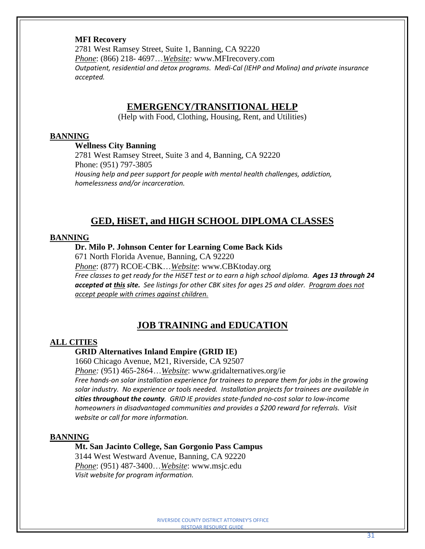#### **MFI Recovery**

2781 West Ramsey Street, Suite 1, Banning, CA 92220 *Phone*: (866) 218- 4697…*Website:* www.MFIrecovery.com *Outpatient, residential and detox programs. Medi-Cal (IEHP and Molina) and private insurance accepted.*

# **EMERGENCY/TRANSITIONAL HELP**

(Help with Food, Clothing, Housing, Rent, and Utilities)

#### **BANNING**

**Wellness City Banning**

2781 West Ramsey Street, Suite 3 and 4, Banning, CA 92220 Phone: (951) 797-3805 *Housing help and peer support for people with mental health challenges, addiction, homelessness and/or incarceration.*

# **GED, HiSET, and HIGH SCHOOL DIPLOMA CLASSES**

#### **BANNING**

#### **Dr. Milo P. Johnson Center for Learning Come Back Kids**

671 North Florida Avenue, Banning, CA 92220

*Phone*: (877) RCOE-CBK…*Website*: www.CBKtoday.org Free classes to get ready for the HiSET test or to earn a high school diploma. Ages 13 through 24 *accepted at this site. See listings for other CBK sites for ages 25 and older. Program does not accept people with crimes against children.*

# **JOB TRAINING and EDUCATION**

#### **ALL CITIES**

#### **GRID Alternatives Inland Empire (GRID IE)**

1660 Chicago Avenue, M21, Riverside, CA 92507

*Phone:* (951) 465-2864…*Website*: www.gridalternatives.org/ie *Free hands-on solar installation experience for trainees to prepare them for jobs in the growing solar industry. No experience or tools needed. Installation projects for trainees are available in cities throughout the county. GRID IE provides state-funded no-cost solar to low-income homeowners in disadvantaged communities and provides a \$200 reward for referrals. Visit website or call for more information.*

#### **BANNING**

**Mt. San Jacinto College, San Gorgonio Pass Campus** 3144 West Westward Avenue, Banning, CA 92220 *Phone*: (951) 487-3400…*Website*: [www.msjc.edu](http://www.msjc.edu/)

*Visit website for program information.*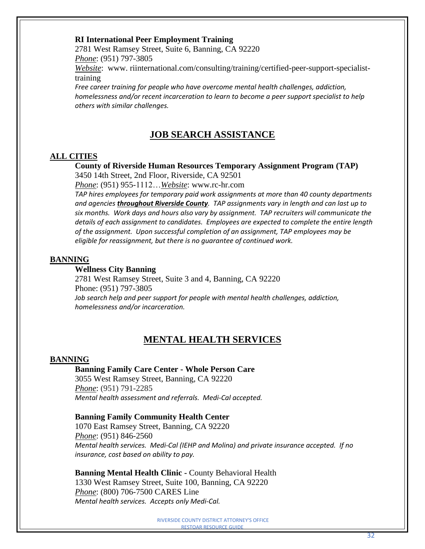# **RI International Peer Employment Training**

2781 West Ramsey Street, Suite 6, Banning, CA 92220 *Phone*: (951) 797-3805

*Website*: www. riinternational.com/consulting/training/certified-peer-support-specialisttraining

*Free career training for people who have overcome mental health challenges, addiction, homelessness and/or recent incarceration to learn to become a peer support specialist to help others with similar challenges.*

# **JOB SEARCH ASSISTANCE**

# **ALL CITIES**

#### **County of Riverside Human Resources Temporary Assignment Program (TAP)**

3450 14th Street, 2nd Floor, Riverside, CA 92501

*Phone*: (951) 955-1112…*Website*: www.rc-hr.com

*TAP hires employees for temporary paid work assignments at more than 40 county departments and agencies throughout Riverside County. TAP assignments vary in length and can last up to six months. Work days and hours also vary by assignment. TAP recruiters will communicate the details of each assignment to candidates. Employees are expected to complete the entire length of the assignment. Upon successful completion of an assignment, TAP employees may be eligible for reassignment, but there is no guarantee of continued work.*

#### **BANNING**

#### **Wellness City Banning**

2781 West Ramsey Street, Suite 3 and 4, Banning, CA 92220 Phone: (951) 797-3805 *Job search help and peer support for people with mental health challenges, addiction, homelessness and/or incarceration.*

# **MENTAL HEALTH SERVICES**

#### **BANNING**

#### **Banning Family Care Center - Whole Person Care**

3055 West Ramsey Street, Banning, CA 92220 *Phone*: (951) 791-2285 *Mental health assessment and referrals. Medi-Cal accepted.*

#### **Banning Family Community Health Center**

1070 East Ramsey Street, Banning, CA 92220 *Phone*: (951) 846-2560 *Mental health services. Medi-Cal (IEHP and Molina) and private insurance accepted. If no insurance, cost based on ability to pay.* 

**Banning Mental Health Clinic -** County Behavioral Health 1330 West Ramsey Street, Suite 100, Banning, CA 92220 *Phone*: (800) 706-7500 CARES Line *Mental health services. Accepts only Medi-Cal.*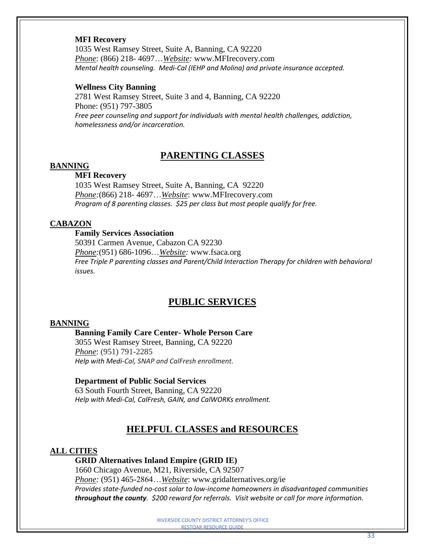#### **MFI Recovery**

1035 West Ramsey Street, Suite A, Banning, CA 92220 *Phone*: (866) 218- 4697…*Website:* www.MFIrecovery.com *Mental health counseling. Medi-Cal (IEHP and Molina) and private insurance accepted.*

#### **Wellness City Banning**

2781 West Ramsey Street, Suite 3 and 4, Banning, CA 92220 Phone: (951) 797-3805 *Free peer counseling and support for individuals with mental health challenges, addiction, homelessness and/or incarceration.*

# **PARENTING CLASSES**

# **BANNING**

# **MFI Recovery**

1035 West Ramsey Street, Suite A, Banning, CA 92220 *Phone:*(866) 218- 4697…*Website*: www.MFIrecovery.com *Program of 8 parenting classes. \$25 per class but most people qualify for free.*

#### **CABAZON**

#### **Family Services Association**

50391 Carmen Avenue, Cabazon CA 92230 *Phone:*(951) 686-1096…*Website:* [www.fsaca.org](http://www.fsaca.org/) *Free Triple P parenting classes and Parent/Child Interaction Therapy for children with behavioral issues.*

# **PUBLIC SERVICES**

#### **BANNING**

#### **Banning Family Care Center- Whole Person Care**

3055 West Ramsey Street, Banning, CA 92220 *Phone*: (951) 791-2285 *Help with Medi-Cal, SNAP and CalFresh enrollment.*

#### **Department of Public Social Services**

63 South Fourth Street, Banning, CA 92220 *Help with Medi-Cal, CalFresh, GAIN, and CalWORKs enrollment.* 

# **HELPFUL CLASSES and RESOURCES**

#### **ALL CITIES**

#### **GRID Alternatives Inland Empire (GRID IE)**

1660 Chicago Avenue, M21, Riverside, CA 92507 *Phone:* (951) 465-2864…*Website*: www.gridalternatives.org/ie *Provides state-funded no-cost solar to low-income homeowners in disadvantaged communities throughout the county. \$200 reward for referrals. Visit website or call for more information.*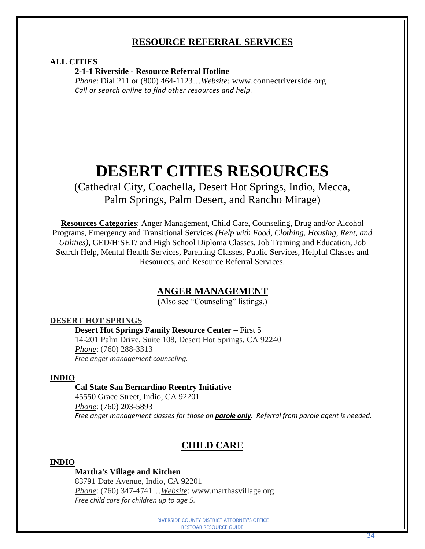# **RESOURCE REFERRAL SERVICES**

## **ALL CITIES**

**2-1-1 Riverside - Resource Referral Hotline**

*Phone*: Dial 211 or (800) 464-1123…*Website:* [www.connectriverside.org](http://www.connectriverside.org/) *Call or search online to find other resources and help.*

# **DESERT CITIES RESOURCES**

(Cathedral City, Coachella, Desert Hot Springs, Indio, Mecca, Palm Springs, Palm Desert, and Rancho Mirage)

**Resources Categories**: Anger Management, Child Care, Counseling, Drug and/or Alcohol Programs, Emergency and Transitional Services *(Help with Food, Clothing, Housing, Rent, and Utilities)*, GED/HiSET/ and High School Diploma Classes, Job Training and Education, Job Search Help, Mental Health Services, Parenting Classes, Public Services, Helpful Classes and Resources, and Resource Referral Services.

# **ANGER MANAGEMENT**

(Also see "Counseling" listings.)

# **DESERT HOT SPRINGS**

**Desert Hot Springs Family Resource Center –** First 5 14-201 Palm Drive, Suite 108, Desert Hot Springs, CA 92240 *Phone*: (760) 288-3313 *Free anger management counseling.*

#### **INDIO**

# **Cal State San Bernardino Reentry Initiative**

45550 Grace Street, Indio, CA 92201 *Phone*: (760) 203-5893 *Free anger management classes for those on parole only. Referral from parole agent is needed.*

# **CHILD CARE**

#### **INDIO**

#### **Martha's Village and Kitchen**

83791 Date Avenue, Indio, CA 92201 *Phone*: (760) 347-4741…*Website*: www.marthasvillage.org *Free child care for children up to age 5.*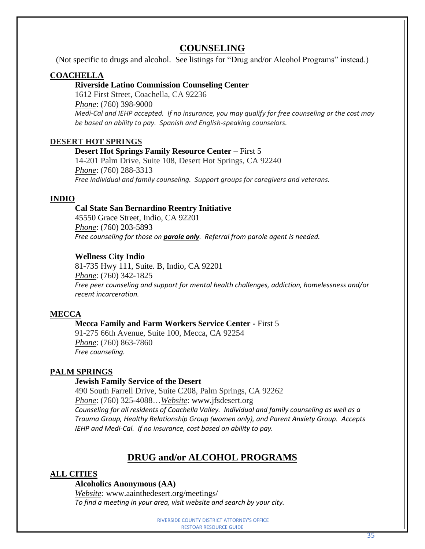# **COUNSELING**

(Not specific to drugs and alcohol. See listings for "Drug and/or Alcohol Programs" instead.)

# **COACHELLA**

# **Riverside Latino Commission Counseling Center**

1612 First Street, Coachella, CA 92236 *Phone*: (760) 398-9000 *Medi-Cal and IEHP accepted. If no insurance, you may qualify for free counseling or the cost may be based on ability to pay. Spanish and English-speaking counselors.*

# **DESERT HOT SPRINGS**

#### **Desert Hot Springs Family Resource Center –** First 5

14-201 Palm Drive, Suite 108, Desert Hot Springs, CA 92240 *Phone*: (760) 288-3313 *Free individual and family counseling. Support groups for caregivers and veterans.*

# **INDIO**

# **Cal State San Bernardino Reentry Initiative**

45550 Grace Street, Indio, CA 92201 *Phone*: (760) 203-5893 *Free counseling for those on parole only. Referral from parole agent is needed.*

# **Wellness City Indio**

81-735 Hwy 111, Suite. B, Indio, CA 92201 *Phone*: (760) 342-1825 *Free peer counseling and support for mental health challenges, addiction, homelessness and/or recent incarceration.*

# **MECCA**

# **Mecca Family and Farm Workers Service Center -** First 5

91-275 66th Avenue, Suite 100, Mecca, CA 92254 *Phone*: (760) 863-7860 *Free counseling.*

# **PALM SPRINGS**

# **Jewish Family Service of the Desert**

490 South Farrell Drive, Suite C208, Palm Springs, CA 92262 *Phone*: (760) 325-4088…*Website*: www.jfsdesert.org *Counseling for all residents of Coachella Valley. Individual and family counseling as well as a Trauma Group, Healthy Relationship Group (women only), and Parent Anxiety Group. Accepts IEHP and Medi-Cal. If no insurance, cost based on ability to pay.*

# **DRUG and/or ALCOHOL PROGRAMS**

# **ALL CITIES**

#### **Alcoholics Anonymous (AA)**

*Website:* [www.aainthedesert.org/meetings/](http://www.aainthedesert.org/meetings/) *To find a meeting in your area, visit website and search by your city.*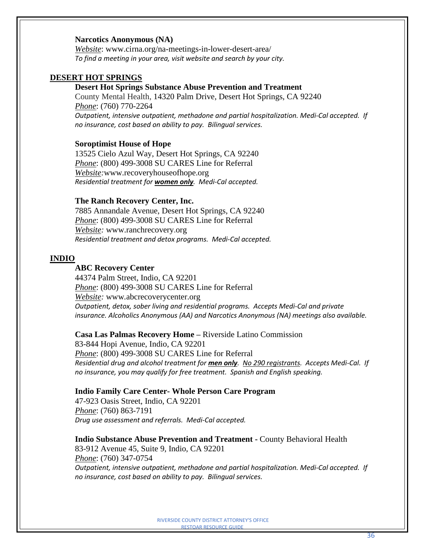#### **Narcotics Anonymous (NA)**

*Website*: www.cirna.org/na-meetings-in-lower-desert-area/ *To find a meeting in your area, visit website and search by your city.*

#### **DESERT HOT SPRINGS**

#### **Desert Hot Springs Substance Abuse Prevention and Treatment**

County Mental Health, 14320 Palm Drive, Desert Hot Springs, CA 92240 *Phone*: (760) 770-2264 *Outpatient, intensive outpatient, methadone and partial hospitalization. Medi-Cal accepted. If no insurance, cost based on ability to pay. Bilingual services.*

#### **Soroptimist House of Hope**

13525 Cielo Azul Way, Desert Hot Springs, CA 92240 *Phone*: (800) 499-3008 SU CARES Line for Referral *Website:*[www.recoveryhouseofhope.org](http://www.recoveryhouseofhope.org/) *Residential treatment for women only. Medi-Cal accepted.*

#### **The Ranch Recovery Center, Inc.**

7885 Annandale Avenue, Desert Hot Springs, CA 92240 *Phone*: (800) 499-3008 SU CARES Line for Referral *Website:* [www.ranchrecovery](http://www.ranchrecovery.org/).org *Residential treatment and detox programs. Medi-Cal accepted.*

#### **INDIO**

#### **ABC Recovery Center**

44374 Palm Street, Indio, CA 92201 *Phone*: (800) 499-3008 SU CARES Line for Referral *Website:* www*.*[abcrecoverycenter.org](http://abcrecoverycenter.org/) *Outpatient, detox, sober living and residential programs. Accepts Medi-Cal and private insurance. Alcoholics Anonymous (AA) and Narcotics Anonymous (NA) meetings also available.*

#### **Casa Las Palmas Recovery Home –** Riverside Latino Commission

83-844 Hopi Avenue, Indio, CA 92201 *Phone*: (800) 499-3008 SU CARES Line for Referral *Residential drug and alcohol treatment for men only. No 290 registrants. Accepts Medi-Cal. If no insurance, you may qualify for free treatment. Spanish and English speaking.*

#### **Indio Family Care Center- Whole Person Care Program**

47-923 Oasis Street, Indio, CA 92201 *Phone*: (760) 863-7191 *Drug use assessment and referrals. Medi-Cal accepted.*

# **Indio Substance Abuse Prevention and Treatment -** County Behavioral Health

83-912 Avenue 45, Suite 9, Indio, CA 92201 *Phone*: (760) 347-0754 *Outpatient, intensive outpatient, methadone and partial hospitalization. Medi-Cal accepted. If no insurance, cost based on ability to pay. Bilingual services.*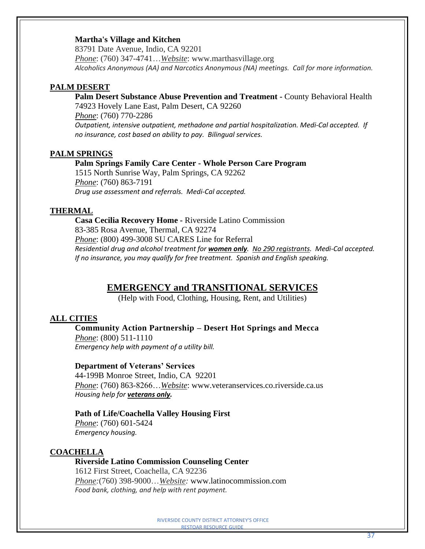# **Martha's Village and Kitchen**

83791 Date Avenue, Indio, CA 92201 *Phone*: (760) 347-4741…*Website*: www.marthasvillage.org *Alcoholics Anonymous (AA) and Narcotics Anonymous (NA) meetings. Call for more information.*

#### **PALM DESERT**

**Palm Desert Substance Abuse Prevention and Treatment -** County Behavioral Health 74923 Hovely Lane East, Palm Desert, CA 92260 *Phone*: (760) 770-2286 *Outpatient, intensive outpatient, methadone and partial hospitalization. Medi-Cal accepted. If no insurance, cost based on ability to pay. Bilingual services.*

# **PALM SPRINGS**

**Palm Springs Family Care Center - Whole Person Care Program** 1515 North Sunrise Way, Palm Springs, CA 92262 *Phone*: (760) 863-7191

*Drug use assessment and referrals. Medi-Cal accepted.*

# **THERMAL**

**Casa Cecilia Recovery Home -** Riverside Latino Commission 83-385 Rosa Avenue, Thermal, CA 92274 *Phone*: (800) 499-3008 SU CARES Line for Referral *Residential drug and alcohol treatment for women only. No 290 registrants. Medi-Cal accepted. If no insurance, you may qualify for free treatment. Spanish and English speaking.*

# **EMERGENCY and TRANSITIONAL SERVICES**

(Help with Food, Clothing, Housing, Rent, and Utilities)

# **ALL CITIES**

# **Community Action Partnership – Desert Hot Springs and Mecca**

*Phone*: (800) 511-1110 *Emergency help with payment of a utility bill.*

#### **Department of Veterans' Services**

44-199B Monroe Street, Indio, CA 92201 *Phone*: (760) 863-8266…*Website*: www[.veteranservices.co.riverside.ca.us](http://veteranservices.co.riverside.ca.us/) *Housing help for veterans only.*

#### **Path of Life/Coachella Valley Housing First**

*Phone*: (760) 601-5424 *Emergency housing.*

# **COACHELLA**

# **Riverside Latino Commission Counseling Center**

1612 First Street, Coachella, CA 92236 *Phone:*(760) 398-9000…*Website:* [www.latinocommission.com](http://www.latinocommission.com/) *Food bank, clothing, and help with rent payment.*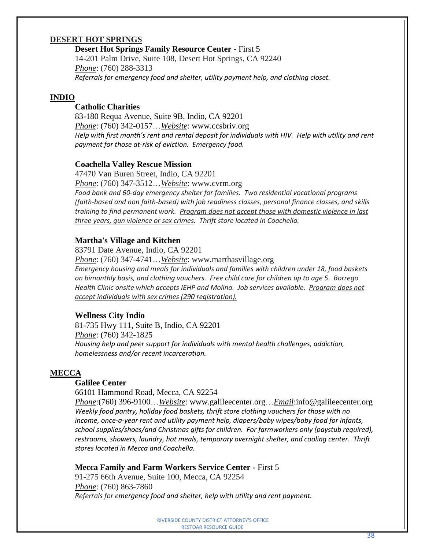#### **DESERT HOT SPRINGS**

**Desert Hot Springs Family Resource Center -** First 5 14-201 Palm Drive, Suite 108, Desert Hot Springs, CA 92240 *Phone*: (760) 288-3313 *Referrals for emergency food and shelter, utility payment help, and clothing closet.*

#### **INDIO**

# **Catholic Charities**

83-180 Requa Avenue, Suite 9B, Indio, CA 92201 *Phone*: (760) 342-0157…*Website*: [www.ccsbriv.org](http://www.ccsbriv.org/) *Help with first month's rent and rental deposit for individuals with HIV. Help with utility and rent payment for those at-risk of eviction. Emergency food.*

#### **Coachella Valley Rescue Mission**

47470 Van Buren Street, Indio, CA 92201 *Phone*: (760) 347-3512…*Website*: www.cvrm.org *Food bank and 60-day emergency shelter for families. Two residential vocational programs (faith-based and non faith-based) with job readiness classes, personal finance classes, and skills training to find permanent work. Program does not accept those with domestic violence in last three years, gun violence or sex crimes. Thrift store located in Coachella.*

#### **Martha's Village and Kitchen**

83791 Date Avenue, Indio, CA 92201

*Phone*: (760) 347-4741…*Website*: www.marthasvillage.org *Emergency housing and meals for individuals and families with children under 18, food baskets on bimonthly basis, and clothing vouchers. Free child care for children up to age 5. Borrego Health Clinic onsite which accepts IEHP and Molina. Job services available. Program does not accept individuals with sex crimes (290 registration).*

#### **Wellness City Indio**

81-735 Hwy 111, Suite B, Indio, CA 92201 *Phone*: (760) 342-1825 *Housing help and peer support for individuals with mental health challenges, addiction, homelessness and/or recent incarceration.*

#### **MECCA**

#### **Galilee Center**

66101 Hammond Road, Mecca, CA 92254

*Phone*:(760) 396-9100…*Website*: www[.galileecenter.org…](http://galileecenter.org/)*Email*[:info@galileecenter.org](mailto:info@galileecenter.org) *Weekly food pantry, holiday food baskets, thrift store clothing vouchers for those with no income, once-a-year rent and utility payment help, diapers/baby wipes/baby food for infants, school supplies/shoes/and Christmas gifts for children. For farmworkers only (paystub required), restrooms, showers, laundry, hot meals, temporary overnight shelter, and cooling center. Thrift stores located in Mecca and Coachella.*

#### **Mecca Family and Farm Workers Service Center -** First 5

91-275 66th Avenue, Suite 100, Mecca, CA 92254 *Phone*: (760) 863-7860 *Referrals for emergency food and shelter, help with utility and rent payment.*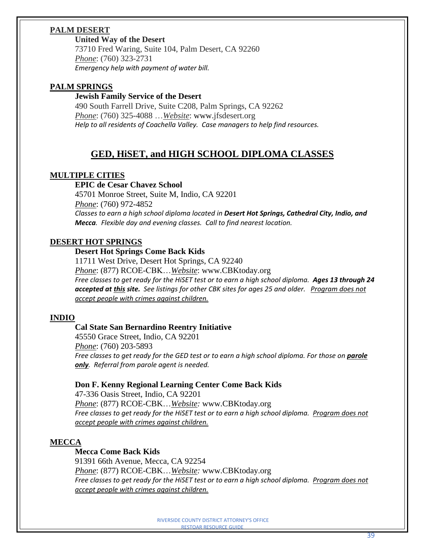# **PALM DESERT**

# **United Way of the Desert**

73710 Fred Waring, Suite 104, Palm Desert, CA 92260 *Phone*: (760) 323-2731 *Emergency help with payment of water bill.*

# **PALM SPRINGS**

#### **Jewish Family Service of the Desert**

490 South Farrell Drive, Suite C208, Palm Springs, CA 92262 *Phone*: (760) 325-4088 …*Website*: www.jfsdesert.org *Help to all residents of Coachella Valley. Case managers to help find resources.*

# **GED, HiSET, and HIGH SCHOOL DIPLOMA CLASSES**

# **MULTIPLE CITIES**

#### **EPIC de Cesar Chavez School**

45701 Monroe Street, Suite M, Indio, CA 92201 *Phone*: (760) 972-4852 *Classes to earn a high school diploma located in Desert Hot Springs, Cathedral City, Indio, and Mecca. Flexible day and evening classes. Call to find nearest location.*

# **DESERT HOT SPRINGS**

# **Desert Hot Springs Come Back Kids**

11711 West Drive, Desert Hot Springs, CA 92240 *Phone*: (877) RCOE-CBK…*Website*: www.CBKtoday.org Free classes to get ready for the HiSET test or to earn a high school diploma. Ages 13 through 24 *accepted at this site. See listings for other CBK sites for ages 25 and older. Program does not accept people with crimes against children.*

# **INDIO**

# **Cal State San Bernardino Reentry Initiative**

45550 Grace Street, Indio, CA 92201 *Phone*: (760) 203-5893 Free classes to get ready for the GED test or to earn a high school diploma. For those on **parole** *only. Referral from parole agent is needed.*

# **Don F. Kenny Regional Learning Center Come Back Kids**

47-336 Oasis Street, Indio, CA 92201 *Phone*: (877) RCOE-CBK…*Website:* www.CBKtoday.org *Free classes to get ready for the HiSET test or to earn a high school diploma. Program does not accept people with crimes against children.*

# **MECCA**

# **Mecca Come Back Kids**

91391 66th Avenue, Mecca, CA 92254 *Phone*: (877) RCOE-CBK…*Website:* www.CBKtoday.org *Free classes to get ready for the HiSET test or to earn a high school diploma. Program does not accept people with crimes against children.*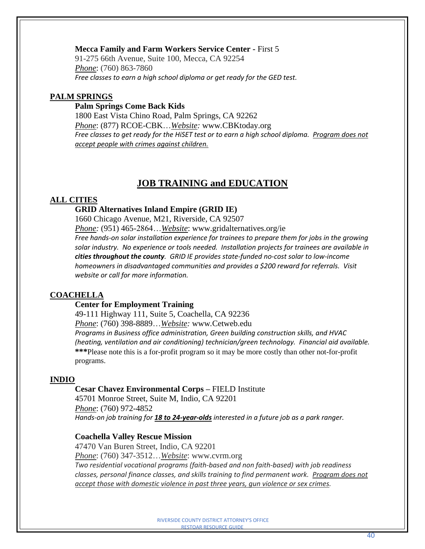#### **Mecca Family and Farm Workers Service Center -** First 5

91-275 66th Avenue, Suite 100, Mecca, CA 92254 *Phone*: (760) 863-7860 *Free classes to earn a high school diploma or get ready for the GED test.*

# **PALM SPRINGS**

#### **Palm Springs Come Back Kids**

1800 East Vista Chino Road, Palm Springs, CA 92262 *Phone*: (877) RCOE-CBK…*Website:* www*.*CBKtoday.org *Free classes to get ready for the HiSET test or to earn a high school diploma. Program does not accept people with crimes against children.*

# **JOB TRAINING and EDUCATION**

#### **ALL CITIES**

#### **GRID Alternatives Inland Empire (GRID IE)**

1660 Chicago Avenue, M21, Riverside, CA 92507

*Phone:* (951) 465-2864…*Website*: www.gridalternatives.org/ie *Free hands-on solar installation experience for trainees to prepare them for jobs in the growing solar industry. No experience or tools needed. Installation projects for trainees are available in cities throughout the county. GRID IE provides state-funded no-cost solar to low-income homeowners in disadvantaged communities and provides a \$200 reward for referrals. Visit website or call for more information.*

#### **COACHELLA**

#### **Center for Employment Training**

49-111 Highway 111, Suite 5, Coachella, CA 92236 *Phone*: [\(760\) 398-8889…](tel:+1-760-398-8889)*Website:* www*.*Cetweb.edu *Programs in Business office administration, Green building construction skills, and HVAC (heating, ventilation and air conditioning) technician/green technology. Financial aid available.* **\*\*\***Please note this is a for-profit program so it may be more costly than other not-for-profit programs.

#### **INDIO**

#### **Cesar Chavez Environmental Corps –** FIELD Institute

45701 Monroe Street, Suite M, Indio, CA 92201 *Phone*: (760) 972-4852 *Hands-on job training for 18 to 24-year-olds interested in a future job as a park ranger.*

### **Coachella Valley Rescue Mission**

47470 Van Buren Street, Indio, CA 92201 *Phone*: (760) 347-3512…*Website*: www.cvrm.org *Two residential vocational programs (faith-based and non faith-based) with job readiness classes, personal finance classes, and skills training to find permanent work. Program does not accept those with domestic violence in past three years, gun violence or sex crimes.*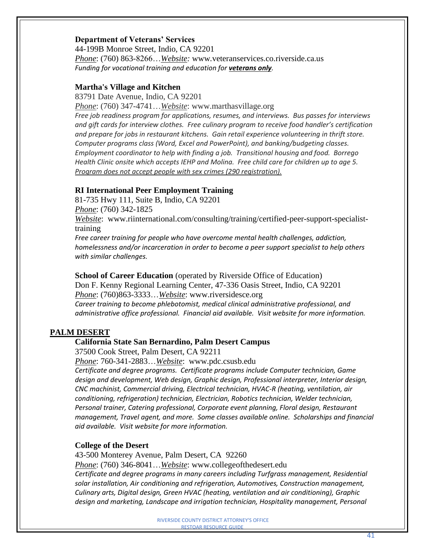#### **Department of Veterans' Services**

44-199B Monroe Street, Indio, CA 92201 *Phone*: (760) 863-8266…*Website:* www*.*[veteranservices.co.riverside.ca.us](http://veteranservices.co.riverside.ca.us/) *Funding for vocational training and education for veterans only.*

#### **Martha's Village and Kitchen**

83791 Date Avenue, Indio, CA 92201

*Phone*: (760) 347-4741…*Website*: www.marthasvillage.org *Free job readiness program for applications, resumes, and interviews. Bus passes for interviews and gift cards for interview clothes. Free culinary program to receive food handler's certification and prepare for jobs in restaurant kitchens. Gain retail experience volunteering in thrift store. Computer programs class (Word, Excel and PowerPoint), and banking/budgeting classes. Employment coordinator to help with finding a job. Transitional housing and food. Borrego Health Clinic onsite which accepts IEHP and Molina. Free child care for children up to age 5. Program does not accept people with sex crimes (290 registration).*

# **RI International Peer Employment Training**

81-735 Hwy 111, Suite B, Indio, CA 92201 *Phone*: (760) 342-1825 *Website*: www.riinternational.com/consulting/training/certified-peer-support-specialisttraining

*Free career training for people who have overcome mental health challenges, addiction, homelessness and/or incarceration in order to become a peer support specialist to help others with similar challenges.*

**School of Career Education** (operated by Riverside Office of Education) Don F. Kenny Regional Learning Center, 47-336 Oasis Street, Indio, CA 92201 *Phone*: [\(760\)863-3333…](tel:+17608633333)*Website*: www.riversidesce.org *Career training to become phlebotomist, medical clinical administrative professional, and administrative office professional. Financial aid available. Visit website for more information.*

# **PALM DESERT**

#### **California State San Bernardino, Palm Desert Campus**

37500 Cook Street, Palm Desert, CA 92211

*Phone*: 760-341-2883…*Website*: www.pdc.csusb.edu

*Certificate and degree programs. Certificate programs include Computer technician, Game design and development, Web design, Graphic design, Professional interpreter, Interior design, CNC machinist, Commercial driving, Electrical technician, HVAC-R (heating, ventilation, air conditioning, refrigeration) technician, Electrician, Robotics technician, Welder technician, Personal trainer, Catering professional, Corporate event planning, Floral design, Restaurant management, Travel agent, and more. Some classes available online. Scholarships and financial aid available. Visit website for more information.* 

#### **College of the Desert**

43-500 Monterey Avenue, Palm Desert, CA 92260

*Phone*: (760) 346-8041…*Website*: www.collegeofthedesert.edu

*Certificate and degree programs in many careers including Turfgrass management, Residential solar installation, Air conditioning and refrigeration, Automotives, Construction management, Culinary arts, Digital design, Green HVAC (heating, ventilation and air conditioning), Graphic design and marketing, Landscape and irrigation technician, Hospitality management, Personal*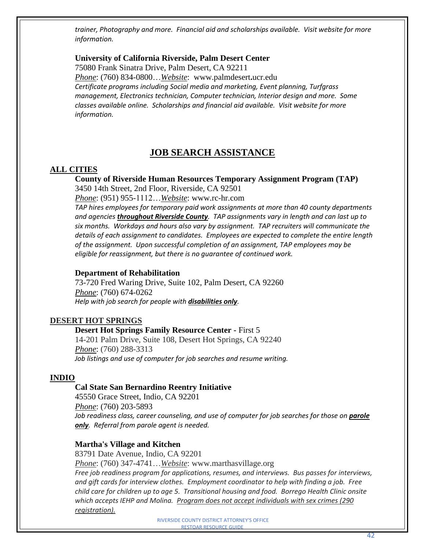*trainer, Photography and more. Financial aid and scholarships available. Visit website for more information.*

# **University of California Riverside, Palm Desert Center**

[75080 Frank Sinatra Drive, Palm Desert, CA 92211](https://www.google.com/maps/place/UC+Riverside-Palm+Desert/@33.777685,-116.353197,15z/data=!4m5!3m4!1s0x80dafc59166a7883:0xfb1bd0474b84fece!8m2!3d33.7733078!4d-116.3542281?hl=en) 

*Phone*: (760) 834-0800…*Website*: www.palmdesert**.**ucr.edu *Certificate programs including Social media and marketing, Event planning, Turfgrass management, Electronics technician, Computer technician, Interior design and more. Some classes available online. Scholarships and financial aid available. Visit website for more information.*

# **JOB SEARCH ASSISTANCE**

#### **ALL CITIES**

**County of Riverside Human Resources Temporary Assignment Program (TAP)** 3450 14th Street, 2nd Floor, Riverside, CA 92501

*Phone*: (951) 955-1112…*Website*: www.rc-hr.com

*TAP hires employees for temporary paid work assignments at more than 40 county departments and agencies throughout Riverside County. TAP assignments vary in length and can last up to six months. Workdays and hours also vary by assignment. TAP recruiters will communicate the details of each assignment to candidates. Employees are expected to complete the entire length of the assignment. Upon successful completion of an assignment, TAP employees may be eligible for reassignment, but there is no guarantee of continued work.*

#### **Department of Rehabilitation**

73-720 Fred Waring Drive, Suite 102, Palm Desert, CA 92260 *Phone*: (760) 674-0262 *Help with job search for people with disabilities only.*

# **DESERT HOT SPRINGS**

#### **Desert Hot Springs Family Resource Center -** First 5

14-201 Palm Drive, Suite 108, Desert Hot Springs, CA 92240 *Phone*: (760) 288-3313 *Job listings and use of computer for job searches and resume writing.*

#### **INDIO**

# **Cal State San Bernardino Reentry Initiative**

45550 Grace Street, Indio, CA 92201 *Phone*: (760) 203-5893 *Job readiness class, career counseling, and use of computer for job searches for those on parole only. Referral from parole agent is needed.*

# **Martha's Village and Kitchen**

83791 Date Avenue, Indio, CA 92201 *Phone*: (760) 347-4741…*Website*: www.marthasvillage.org *Free job readiness program for applications, resumes, and interviews. Bus passes for interviews, and gift cards for interview clothes. Employment coordinator to help with finding a job. Free child care for children up to age 5. Transitional housing and food. Borrego Health Clinic onsite which accepts IEHP and Molina. Program does not accept individuals with sex crimes (290 registration).*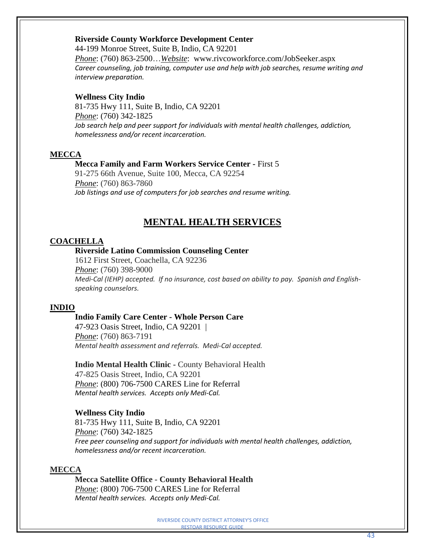#### **Riverside County Workforce Development Center**

44-199 [Monroe](http://maps.google.com/maps?f=q&source=s_q&hl=en&geocode=&q=44-199+Monroe+Street,Indio,+CA+92201+&aq=&sll=33.764534,-116.972477&sspn=0.006288,0.018572&ie=UTF8&hq=&hnear=Monroe+St,+Indio,+California+92201&t=h&z=13) Street, Suite B, Indio, CA 92201 *Phone*: (760) 863-2500…*Website*: www.rivcoworkforce.com/JobSeeker.aspx *Career counseling, job training, computer use and help with job searches, resume writing and interview preparation.*

#### **Wellness City Indio**

81-735 Hwy 111, Suite B, Indio, CA 92201 *Phone*: (760) 342-1825 *Job search help and peer support for individuals with mental health challenges, addiction, homelessness and/or recent incarceration.*

#### **MECCA**

#### **Mecca Family and Farm Workers Service Center -** First 5

91-275 66th Avenue, Suite 100, Mecca, CA 92254 *Phone*: (760) 863-7860 *Job listings and use of computers for job searches and resume writing.*

# **MENTAL HEALTH SERVICES**

#### **COACHELLA**

#### **Riverside Latino Commission Counseling Center**

1612 First Street, Coachella, CA 92236 *Phone*: (760) 398-9000 *Medi-Cal (IEHP) accepted. If no insurance, cost based on ability to pay. Spanish and Englishspeaking counselors.*

#### **INDIO**

#### **Indio Family Care Center - Whole Person Care**

47-923 Oasis Street, Indio, CA 92201 | *Phone*: (760) 863-7191 *Mental health assessment and referrals. Medi-Cal accepted.*

**Indio Mental Health Clinic -** County Behavioral Health 47-825 Oasis Street, Indio, CA 92201 *Phone*: (800) 706-7500 CARES Line for Referral *Mental health services. Accepts only Medi-Cal.*

#### **Wellness City Indio**

81-735 Hwy 111, Suite B, Indio, CA 92201 *Phone*: (760) 342-1825 *Free peer counseling and support for individuals with mental health challenges, addiction, homelessness and/or recent incarceration.*

#### **MECCA**

**Mecca Satellite Office - County Behavioral Health** *Phone*: (800) 706-7500 CARES Line for Referral *Mental health services. Accepts only Medi-Cal.*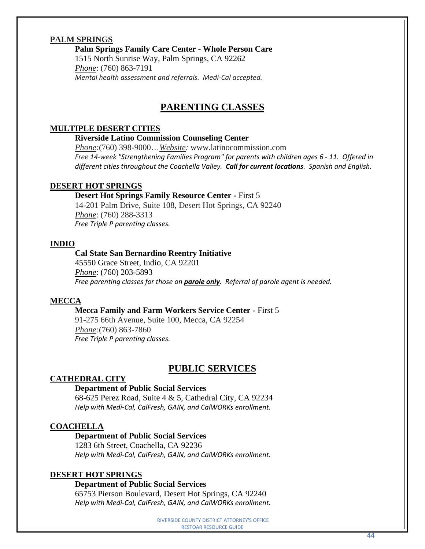# **PALM SPRINGS**

**Palm Springs Family Care Center - Whole Person Care**

1515 North Sunrise Way, Palm Springs, CA 92262 *Phone*: (760) 863-7191 *Mental health assessment and referrals. Medi-Cal accepted.*

# **PARENTING CLASSES**

#### **MULTIPLE DESERT CITIES**

# **Riverside Latino Commission Counseling Center**

*Phone:*(760) 398-9000…*Website:* www.latinocommission.com *Free 14-week "Strengthening Families Program" for parents with children ages 6 - 11. Offered in different cities throughout the Coachella Valley. Call for current locations. Spanish and English.*

#### **DESERT HOT SPRINGS**

#### **Desert Hot Springs Family Resource Center -** First 5

14-201 Palm Drive, Suite 108, Desert Hot Springs, CA 92240 *Phone*: (760) 288-3313 *Free Triple P parenting classes.*

#### **INDIO**

#### **Cal State San Bernardino Reentry Initiative**

45550 Grace Street, Indio, CA 92201 *Phone*: (760) 203-5893 *Free parenting classes for those on parole only. Referral of parole agent is needed.* 

#### **MECCA**

#### **Mecca Family and Farm Workers Service Center -** First 5

91-275 66th Avenue, Suite 100, Mecca, CA 92254 *Phone:*(760) 863-7860 *Free Triple P parenting classes.*

# **PUBLIC SERVICES**

# **CATHEDRAL CITY**

#### **Department of Public Social Services**

68-625 Perez Road, Suite 4 & 5, Cathedral City, CA 92234 *Help with Medi-Cal, CalFresh, GAIN, and CalWORKs enrollment.* 

#### **COACHELLA**

# **Department of Public Social Services**

1283 6th Street, Coachella, CA 92236 *Help with Medi-Cal, CalFresh, GAIN, and CalWORKs enrollment.* 

#### **DESERT HOT SPRINGS**

#### **Department of Public Social Services**

65753 Pierson Boulevard, Desert Hot Springs, CA 92240 *Help with Medi-Cal, CalFresh, GAIN, and CalWORKs enrollment.*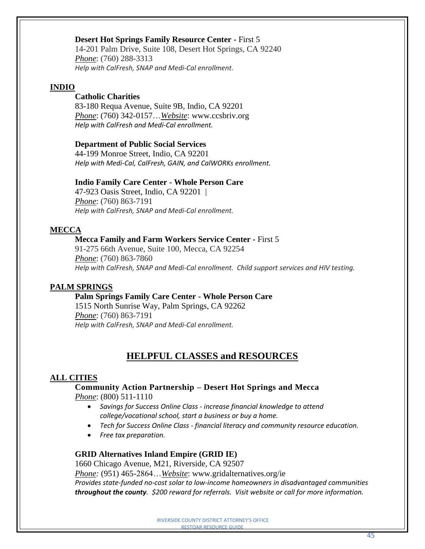#### **Desert Hot Springs Family Resource Center -** First 5

14-201 Palm Drive, Suite 108, Desert Hot Springs, CA 92240 *Phone*: (760) 288-3313 *Help with CalFresh, SNAP and Medi-Cal enrollment.*

#### **INDIO**

# **Catholic Charities**

83-180 Requa Avenue, Suite 9B, Indio, CA 92201 *Phone*: (760) 342-0157…*Website*: www.ccsbriv.org *Help with CalFresh and Medi-Cal enrollment.*

#### **Department of Public Social Services**

44-199 Monroe Street, Indio, CA 92201 *Help with Medi-Cal, CalFresh, GAIN, and CalWORKs enrollment.* 

#### **Indio Family Care Center - Whole Person Care**

47-923 Oasis Street, Indio, CA 92201 | *Phone*: (760) 863-7191 *Help with CalFresh, SNAP and Medi-Cal enrollment.*

#### **MECCA**

#### **Mecca Family and Farm Workers Service Center -** First 5

91-275 66th Avenue, Suite 100, Mecca, CA 92254 *Phone*: (760) 863-7860 *Help with CalFresh, SNAP and Medi-Cal enrollment. Child support services and HIV testing.*

#### **PALM SPRINGS**

#### **Palm Springs Family Care Center - Whole Person Care**

1515 North Sunrise Way, Palm Springs, CA 92262 *Phone*: (760) 863-7191 *Help with CalFresh, SNAP and Medi-Cal enrollment.*

# **HELPFUL CLASSES and RESOURCES**

#### **ALL CITIES**

#### **Community Action Partnership – Desert Hot Springs and Mecca** *Phone*: (800) 511-1110

- *Savings for Success Online Class - increase financial knowledge to attend college/vocational school, start a business or buy a home.*
- *Tech for Success Online Class - financial literacy and community resource education.*
- *Free tax preparation.*

#### **GRID Alternatives Inland Empire (GRID IE)**

1660 Chicago Avenue, M21, Riverside, CA 92507

*Phone:* (951) 465-2864…*Website*: www.gridalternatives.org/ie *Provides state-funded no-cost solar to low-income homeowners in disadvantaged communities throughout the county. \$200 reward for referrals. Visit website or call for more information.*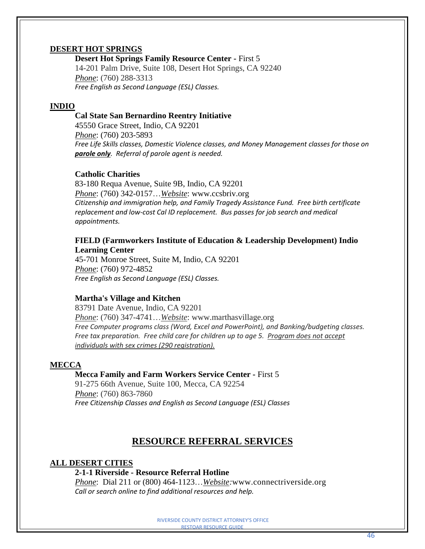# **DESERT HOT SPRINGS**

**Desert Hot Springs Family Resource Center -** First 5

14-201 Palm Drive, Suite 108, Desert Hot Springs, CA 92240 *Phone*: (760) 288-3313 *Free English as Second Language (ESL) Classes.*

#### **INDIO**

#### **Cal State San Bernardino Reentry Initiative**

45550 Grace Street, Indio, CA 92201 *Phone*: (760) 203-5893 *Free Life Skills classes, Domestic Violence classes, and Money Management classes for those on parole only. Referral of parole agent is needed.* 

#### **Catholic Charities**

83-180 Requa Avenue, Suite 9B, Indio, CA 92201 *Phone*: (760) 342-0157…*Website*: www.ccsbriv.org *Citizenship and immigration help, and Family Tragedy Assistance Fund. Free birth certificate replacement and low-cost Cal ID replacement. Bus passes for job search and medical appointments.*

# **FIELD (Farmworkers Institute of Education & Leadership Development) Indio Learning Center**

45-701 Monroe Street, Suite M, Indio, CA 92201 *Phone*: (760) 972-4852 *Free English as Second Language (ESL) Classes.*

#### **Martha's Village and Kitchen**

83791 Date Avenue, Indio, CA 92201 *Phone*: (760) 347-4741…*Website*: www.marthasvillage.org *Free Computer programs class (Word, Excel and PowerPoint), and Banking/budgeting classes. Free tax preparation. Free child care for children up to age 5. Program does not accept individuals with sex crimes (290 registration).*

#### **MECCA**

#### **Mecca Family and Farm Workers Service Center -** First 5

91-275 66th Avenue, Suite 100, Mecca, CA 92254 *Phone*: (760) 863-7860 *Free Citizenship Classes and English as Second Language (ESL) Classes* 

# **RESOURCE REFERRAL SERVICES**

#### **ALL DESERT CITIES**

# **2-1-1 Riverside - Resource Referral Hotline**

*Phone*: Dial 211 or (800) 464-1123…*Website:*[www.connectriverside.org](http://www.connectriverside.org/) *Call or search online to find additional resources and help.*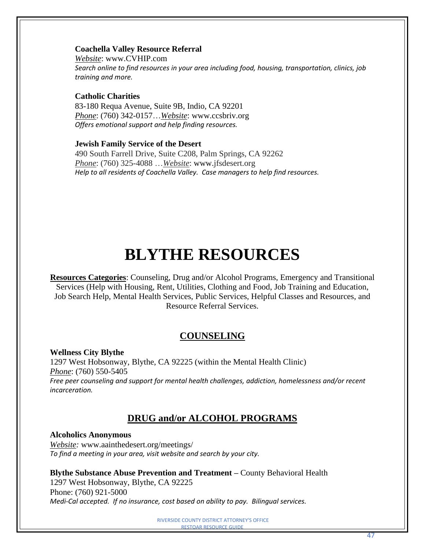# **Coachella Valley Resource Referral**

*Website*: www.CVHIP.com *Search online to find resources in your area including food, housing, transportation, clinics, job training and more.*

# **Catholic Charities**

83-180 Requa Avenue, Suite 9B, Indio, CA 92201 *Phone*: (760) 342-0157…*Website*: www.ccsbriv.org *Offers emotional support and help finding resources.* 

#### **Jewish Family Service of the Desert**

490 South Farrell Drive, Suite C208, Palm Springs, CA 92262 *Phone*: (760) 325-4088 …*Website*: www.jfsdesert.org *Help to all residents of Coachella Valley. Case managers to help find resources.*

# **BLYTHE RESOURCES**

**Resources Categories**: Counseling, Drug and/or Alcohol Programs, Emergency and Transitional Services (Help with Housing, Rent, Utilities, Clothing and Food, Job Training and Education, Job Search Help, Mental Health Services, Public Services, Helpful Classes and Resources, and Resource Referral Services.

# **COUNSELING**

#### **Wellness City Blythe**

1297 West Hobsonway, Blythe, CA 92225 (within the Mental Health Clinic) *Phone*: (760) 550-5405 *Free peer counseling and support for mental health challenges, addiction, homelessness and/or recent incarceration.*

# **DRUG and/or ALCOHOL PROGRAMS**

# **Alcoholics Anonymous**

*Website:* [www.aainthedesert.org/meetings/](http://www.aainthedesert.org/meetings/) *To find a meeting in your area, visit website and search by your city.*

**Blythe Substance Abuse Prevention and Treatment –** County Behavioral Health

1297 West Hobsonway, Blythe, CA 92225 Phone: (760) 921-5000 *Medi-Cal accepted. If no insurance, cost based on ability to pay. Bilingual services.*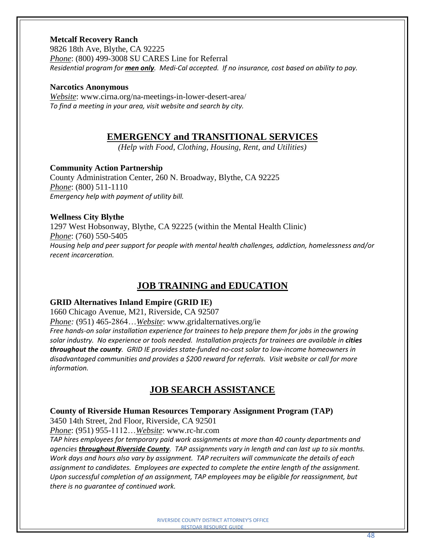#### **Metcalf Recovery Ranch**

[9826 18th Ave, Blythe, CA 92225](https://www.bing.com/local?lid=YN96x1340871&id=YN96x1340871&q=Metcalf+Recovery+Ranch&name=Metcalf+Recovery+Ranch&cp=33.57445526123047%7e-114.58428192138672&ppois=33.57445526123047_-114.58428192138672_Metcalf+Recovery+Ranch&FORM=SNAPST) *Phone*: (800) 499-3008 SU CARES Line for Referral *Residential program for men only. Medi-Cal accepted. If no insurance, cost based on ability to pay.*

#### **Narcotics Anonymous**

*Website*: www.cirna.org/na-meetings-in-lower-desert-area/ *To find a meeting in your area, visit website and search by city.*

# **EMERGENCY and TRANSITIONAL SERVICES**

*(Help with Food, Clothing, Housing, Rent, and Utilities)*

#### **Community Action Partnership**

County Administration Center, 260 N. Broadway, Blythe, CA 92225 *Phone*: (800) 511-1110 *Emergency help with payment of utility bill.*

#### **Wellness City Blythe**

1297 West Hobsonway, Blythe, CA 92225 (within the Mental Health Clinic) *Phone*: (760) 550-5405 *Housing help and peer support for people with mental health challenges, addiction, homelessness and/or recent incarceration.*

# **JOB TRAINING and EDUCATION**

#### **GRID Alternatives Inland Empire (GRID IE)**

1660 Chicago Avenue, M21, Riverside, CA 92507

*Phone:* (951) 465-2864…*Website*: www.gridalternatives.org/ie

*Free hands-on solar installation experience for trainees to help prepare them for jobs in the growing solar industry. No experience or tools needed. Installation projects for trainees are available in cities throughout the county. GRID IE provides state-funded no-cost solar to low-income homeowners in disadvantaged communities and provides a \$200 reward for referrals. Visit website or call for more information.*

# **JOB SEARCH ASSISTANCE**

**County of Riverside Human Resources Temporary Assignment Program (TAP)**

3450 14th Street, 2nd Floor, Riverside, CA 92501

*Phone*: (951) 955-1112…*Website*: www.rc-hr.com

*TAP hires employees for temporary paid work assignments at more than 40 county departments and agencies throughout Riverside County. TAP assignments vary in length and can last up to six months. Work days and hours also vary by assignment. TAP recruiters will communicate the details of each assignment to candidates. Employees are expected to complete the entire length of the assignment. Upon successful completion of an assignment, TAP employees may be eligible for reassignment, but there is no guarantee of continued work.*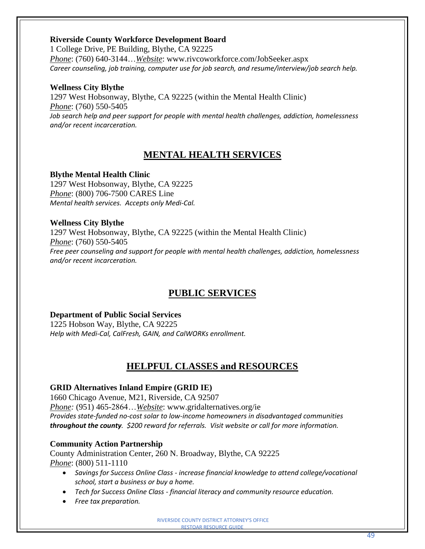# **Riverside County Workforce Development Board**

1 [College](https://www.google.com/maps/place/1+College+Dr,+Blythe,+CA+92225/@33.6617913,-114.6546536,824m/data=!3m1!1e3!4m7!1m4!3m3!1s0x80d13dba8c57e11f:0x95b27f6ca13eb9e8!2s1+College+Dr,+Blythe,+CA+92225!3b1!3m1!1s0x80d13dba8c57e11f:0x95b27f6ca13eb9e8?hl=en) Drive, PE Building, Blythe, CA 92225 *Phone*: (760) 640-3144…*Website*: www.rivcoworkforce.com/JobSeeker.aspx *Career counseling, job training, computer use for job search, and resume/interview/job search help.*

# **Wellness City Blythe**

1297 West Hobsonway, Blythe, CA 92225 (within the Mental Health Clinic) *Phone*: (760) 550-5405 *Job search help and peer support for people with mental health challenges, addiction, homelessness and/or recent incarceration.*

# **MENTAL HEALTH SERVICES**

# **Blythe Mental Health Clinic**

1297 West Hobsonway, Blythe, CA 92225 *Phone*: (800) 706-7500 CARES Line *Mental health services. Accepts only Medi-Cal.*

# **Wellness City Blythe**

1297 West Hobsonway, Blythe, CA 92225 (within the Mental Health Clinic) *Phone*: (760) 550-5405 *Free peer counseling and support for people with mental health challenges, addiction, homelessness and/or recent incarceration.*

# **PUBLIC SERVICES**

# **Department of Public Social Services**

1225 Hobson Way, Blythe, CA 92225 *Help with Medi-Cal, CalFresh, GAIN, and CalWORKs enrollment.* 

# **HELPFUL CLASSES and RESOURCES**

# **GRID Alternatives Inland Empire (GRID IE)**

1660 Chicago Avenue, M21, Riverside, CA 92507 *Phone:* (951) 465-2864…*Website*: www.gridalternatives.org/ie *Provides state-funded no-cost solar to low-income homeowners in disadvantaged communities throughout the county. \$200 reward for referrals. Visit website or call for more information.*

# **Community Action Partnership**

County Administration Center, 260 N. Broadway, Blythe, CA 92225 *Phone*: (800) 511-1110

- *Savings for Success Online Class - increase financial knowledge to attend college/vocational school, start a business or buy a home.*
- *Tech for Success Online Class - financial literacy and community resource education.*
- *Free tax preparation.*